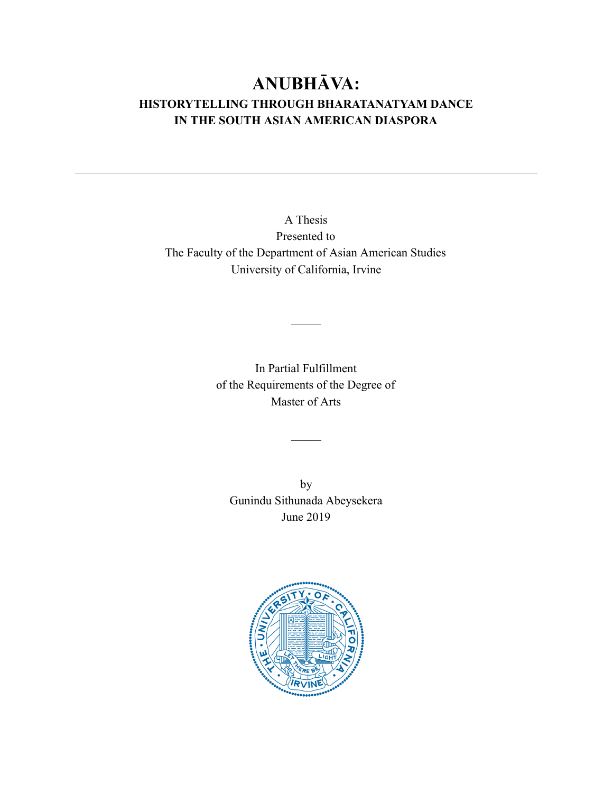# **ANUBHĀVA: HISTORYTELLING THROUGH BHARATANATYAM DANCE IN THE SOUTH ASIAN AMERICAN DIASPORA**

A Thesis Presented to The Faculty of the Department of Asian American Studies University of California, Irvine

> In Partial Fulfillment of the Requirements of the Degree of Master of Arts

> > $\mathcal{L}$

 $\mathcal{L}$ 

by Gunindu Sithunada Abeysekera June 2019

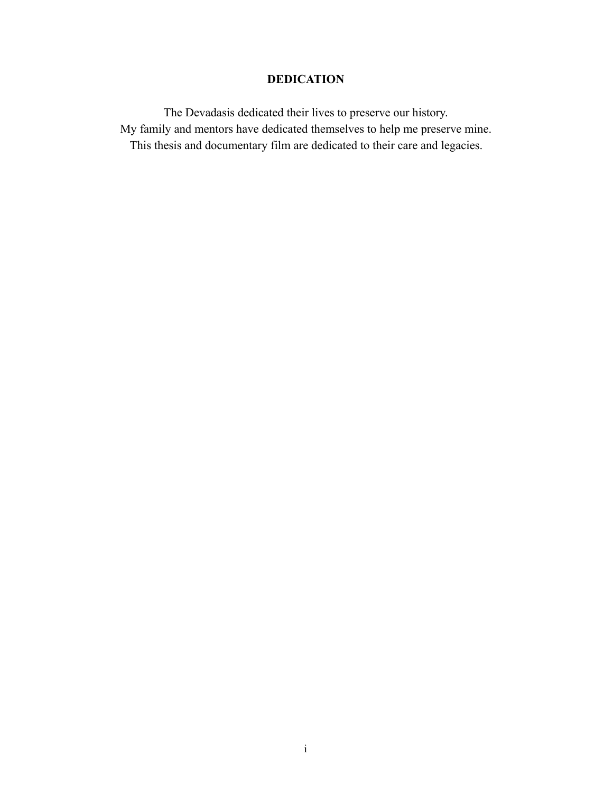# **DEDICATION**

The Devadasis dedicated their lives to preserve our history. My family and mentors have dedicated themselves to help me preserve mine. This thesis and documentary film are dedicated to their care and legacies.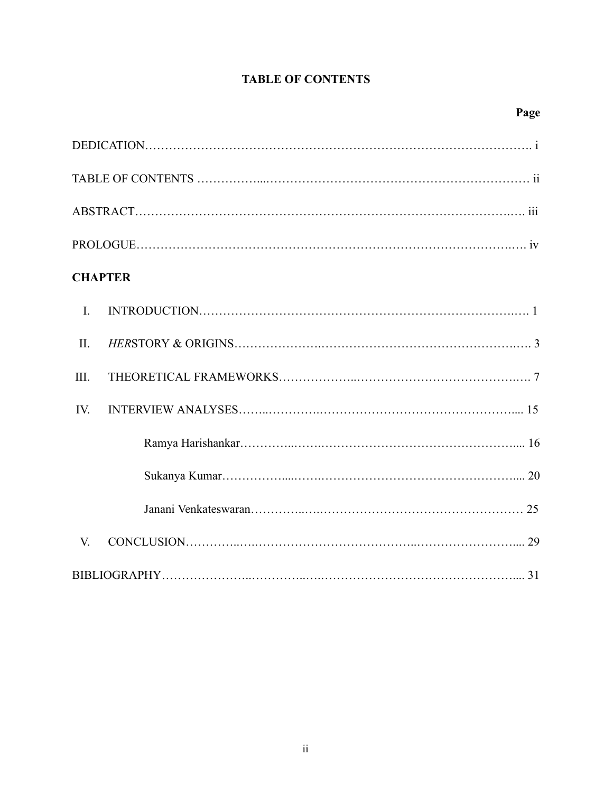# **TABLE OF CONTENTS**

| <b>CHAPTER</b> |
|----------------|
| $\mathbf{I}$ . |
| $\prod$ .      |
| III.           |
| IV.            |
|                |
|                |
|                |
| V.             |
|                |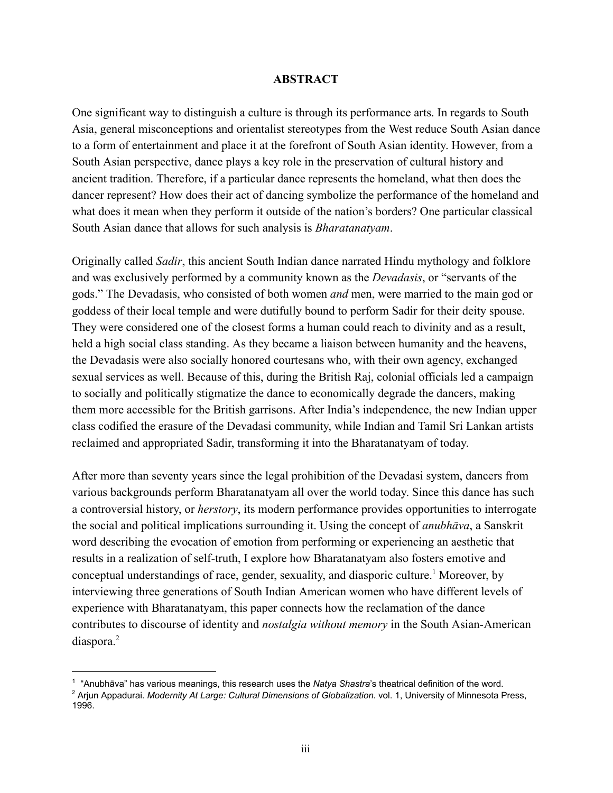#### **ABSTRACT**

One significant way to distinguish a culture is through its performance arts. In regards to South Asia, general misconceptions and orientalist stereotypes from the West reduce South Asian dance to a form of entertainment and place it at the forefront of South Asian identity. However, from a South Asian perspective, dance plays a key role in the preservation of cultural history and ancient tradition. Therefore, if a particular dance represents the homeland, what then does the dancer represent? How does their act of dancing symbolize the performance of the homeland and what does it mean when they perform it outside of the nation's borders? One particular classical South Asian dance that allows for such analysis is *Bharatanatyam* .

Originally called *Sadir* , this ancient South Indian dance narrated Hindu mythology and folklore and was exclusively performed by a community known as the *Devadasis* , or "servants of the gods." The Devadasis, who consisted of both women *and*  men, were married to the main god or goddess of their local temple and were dutifully bound to perform Sadir for their deity spouse. They were considered one of the closest forms a human could reach to divinity and as a result, held a high social class standing. As they became a liaison between humanity and the heavens, the Devadasis were also socially honored courtesans who, with their own agency, exchanged sexual services as well. Because of this, during the British Raj, colonial officials led a campaign to socially and politically stigmatize the dance to economically degrade the dancers, making them more accessible for the British garrisons. After India's independence, the new Indian upper class codified the erasure of the Devadasi community, while Indian and Tamil Sri Lankan artists reclaimed and appropriated Sadir, transforming it into the Bharatanatyam of today.

After more than seventy years since the legal prohibition of the Devadasi system, dancers from various backgrounds perform Bharatanatyam all over the world today. Since this dance has such a controversial history, or *herstory* , its modern performance provides opportunities to interrogate the social and political implications surrounding it. Using the concept of *anubhāva* , a Sanskrit word describing the evocation of emotion from performing or experiencing an aesthetic that results in a realization of self-truth, I explore how Bharatanatyam also fosters emotive and conceptual understandings of race, gender, sexuality, and diasporic culture.<sup>1</sup> Moreover, by interviewing three generations of South Indian American women who have different levels of experience with Bharatanatyam, this paper connects how the reclamation of the dance contributes to discourse of identity and *nostalgia without memory* in the South Asian-American diaspora.<sup>2</sup>

<sup>&</sup>lt;sup>1</sup> "Anubhāva" has various meanings, this research uses the Natya Shastra's theatrical definition of the word.

<sup>&</sup>lt;sup>2</sup> Arjun Appadurai. *Modernity At Large: Cultural Dimensions of Globalization*. vol. 1, University of Minnesota Press, 1996.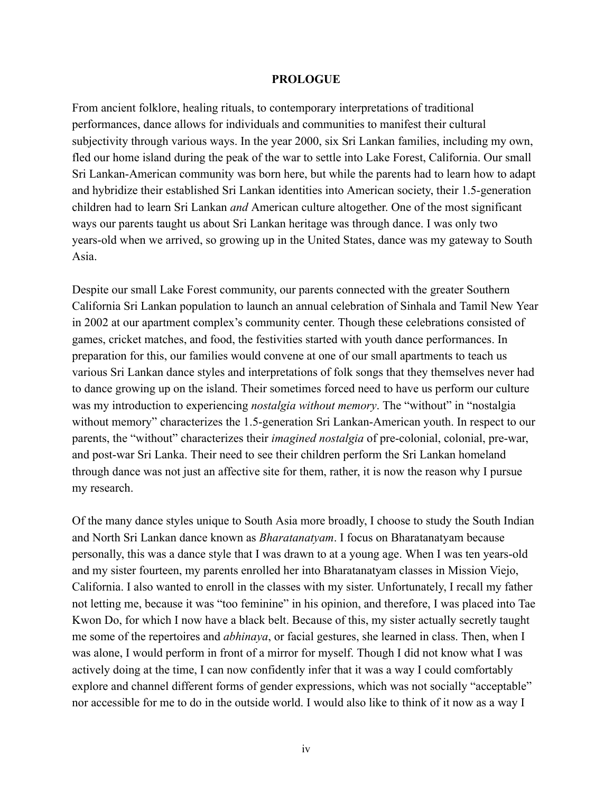#### **PROLOGUE**

From ancient folklore, healing rituals, to contemporary interpretations of traditional performances, dance allows for individuals and communities to manifest their cultural subjectivity through various ways. In the year 2000, six Sri Lankan families, including my own, fled our home island during the peak of the war to settle into Lake Forest, California. Our small Sri Lankan-American community was born here, but while the parents had to learn how to adapt and hybridize their established Sri Lankan identities into American society, their 1.5-generation children had to learn Sri Lankan *and*  American culture altogether. One of the most significant ways our parents taught us about Sri Lankan heritage was through dance. I was only two years-old when we arrived, so growing up in the United States, dance was my gateway to South Asia.

Despite our small Lake Forest community, our parents connected with the greater Southern California Sri Lankan population to launch an annual celebration of Sinhala and Tamil New Year in 2002 at our apartment complex's community center. Though these celebrations consisted of games, cricket matches, and food, the festivities started with youth dance performances. In preparation for this, our families would convene at one of our small apartments to teach us various Sri Lankan dance styles and interpretations of folk songs that they themselves never had to dance growing up on the island. Their sometimes forced need to have us perform our culture was my introduction to experiencing *nostalgia without memory*. The "without" in "nostalgia without memory" characterizes the 1.5-generation Sri Lankan-American youth. In respect to our parents, the "without" characterizes their *imagined nostalgia*  of precolonial, colonial, prewar, and post-war Sri Lanka. Their need to see their children perform the Sri Lankan homeland through dance was not just an affective site for them, rather, it is now the reason why I pursue my research.

Of the many dance styles unique to South Asia more broadly, I choose to study the South Indian and North Sri Lankan dance known as *Bharatanatyam* . I focus on Bharatanatyam because personally, this was a dance style that I was drawn to at a young age. When I was ten years-old and my sister fourteen, my parents enrolled her into Bharatanatyam classes in Mission Viejo, California. I also wanted to enroll in the classes with my sister. Unfortunately, I recall my father not letting me, because it was "too feminine" in his opinion, and therefore, I was placed into Tae Kwon Do, for which I now have a black belt. Because of this, my sister actually secretly taught me some of the repertoires and *abhinaya* , or facial gestures, she learned in class. Then, when I was alone, I would perform in front of a mirror for myself. Though I did not know what I was actively doing at the time, I can now confidently infer that it was a way I could comfortably explore and channel different forms of gender expressions, which was not socially "acceptable" nor accessible for me to do in the outside world. I would also like to think of it now as a way I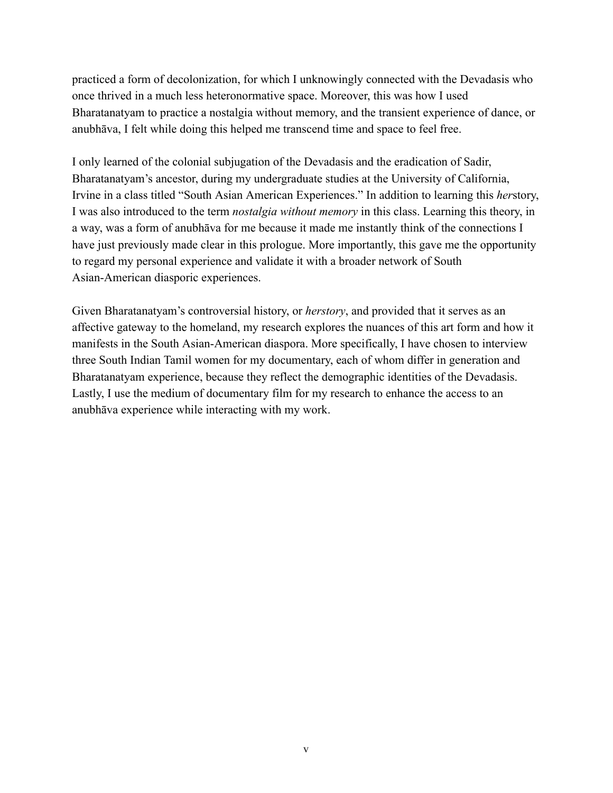practiced a form of decolonization, for which I unknowingly connected with the Devadasis who once thrived in a much less heteronormative space. Moreover, this was how I used Bharatanatyam to practice a nostalgia without memory, and the transient experience of dance, or anubhāva, I felt while doing this helped me transcend time and space to feel free.

I only learned of the colonial subjugation of the Devadasis and the eradication of Sadir, Bharatanatyam's ancestor, during my undergraduate studies at the University of California, Irvine in a class titled "South Asian American Experiences." In addition to learning this herstory, I was also introduced to the term *nostalgia without memory*  in this class. Learning this theory, in a way, was a form of anubhāva for me because it made me instantly think of the connections I have just previously made clear in this prologue. More importantly, this gave me the opportunity to regard my personal experience and validate it with a broader network of South Asian-American diasporic experiences.

Given Bharatanatyam's controversial history, or *herstory* , and provided that it serves as an affective gateway to the homeland, my research explores the nuances of this art form and how it manifests in the South Asian-American diaspora. More specifically, I have chosen to interview three South Indian Tamil women for my documentary, each of whom differ in generation and Bharatanatyam experience, because they reflect the demographic identities of the Devadasis. Lastly, I use the medium of documentary film for my research to enhance the access to an anubhāva experience while interacting with my work.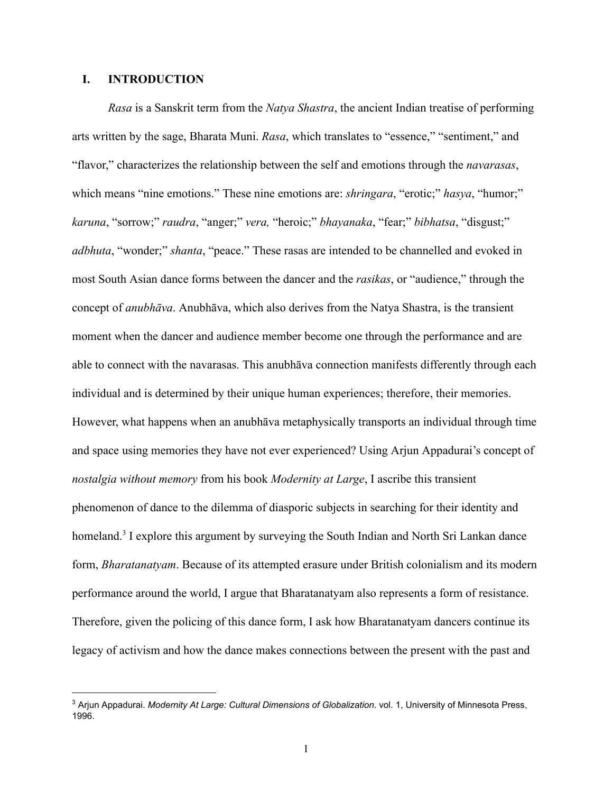# **I. INTRODUCTION**

*Rasa*  is a Sanskrit term from the *Natya Shastra* , the ancient Indian treatise of performing arts written by the sage, Bharata Muni. *Rasa* , which translates to "essence," "sentiment," and "flavor," characterizes the relationship between the self and emotions through the *navarasas* , which means "nine emotions." These nine emotions are: *shringara*, "erotic;" hasya, "humor;" *karuna* , "sorrow;" *raudra* , "anger;" *vera,*  "heroic;" *bhayanaka* , "fear;" *bibhatsa* , "disgust;" *adbhuta*, "wonder;" *shanta*, "peace." These rasas are intended to be channelled and evoked in most South Asian dance forms between the dancer and the *rasikas* , or "audience," through the concept of *anubhāva* . Anubhāva, which also derives from the Natya Shastra, is the transient moment when the dancer and audience member become one through the performance and are able to connect with the navarasas. This anubhāva connection manifests differently through each individual and is determined by their unique human experiences; therefore, their memories. However, what happens when an anubhāva metaphysically transports an individual through time and space using memories they have not ever experienced? Using Arjun Appadurai's concept of *nostalgia without memory*  from his book *Modernity at Large* , I ascribe this transient phenomenon of dance to the dilemma of diasporic subjects in searching for their identity and homeland.<sup>3</sup> I explore this argument by surveying the South Indian and North Sri Lankan dance form, *Bharatanatyam* . Because of its attempted erasure under British colonialism and its modern performance around the world, I argue that Bharatanatyam also represents a form of resistance. Therefore, given the policing of this dance form, I ask how Bharatanatyam dancers continue its legacy of activism and how the dance makes connections between the present with the past and

<sup>&</sup>lt;sup>3</sup> Arjun Appadurai. Modernity At Large: Cultural Dimensions of Globalization. vol. 1, University of Minnesota Press, 1996.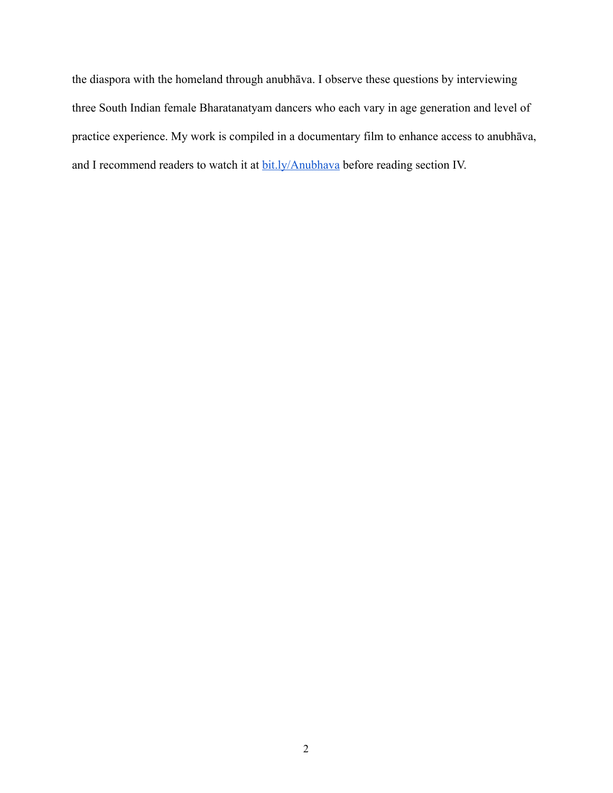the diaspora with the homeland through anubhāva. I observe these questions by interviewing three South Indian female Bharatanatyam dancers who each vary in age generation and level of practice experience. My work is compiled in a documentary film to enhance access to anubhāva, and I recommend readers to watch it at  $\underline{\text{bit}.\text{ly/Anubhava}}$  before reading section IV.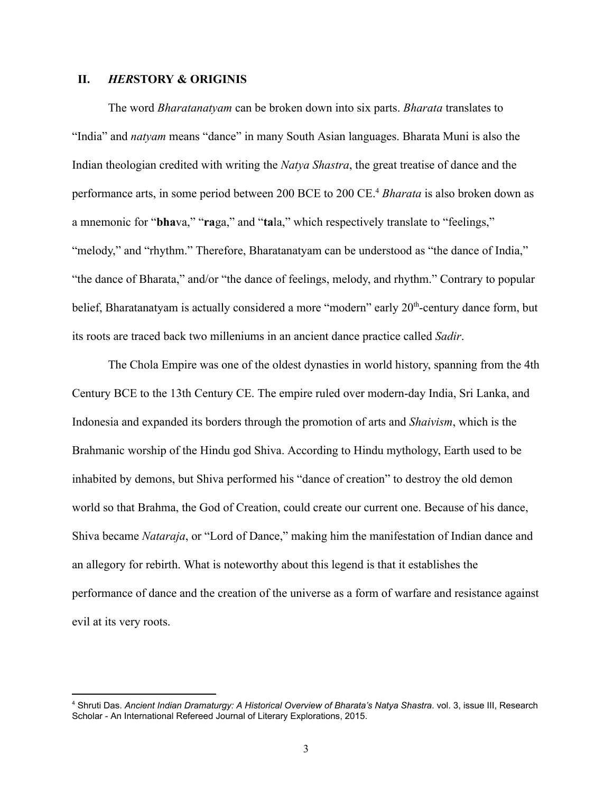# **II.** *HERSTORY & ORIGINIS*

The word *Bharatanatyam*  can be broken down into six parts. *Bharata*  translates to "India" and *natyam*  means "dance" in many South Asian languages. Bharata Muni is also the Indian theologian credited with writing the *Natya Shastra* , the great treatise of dance and the performance arts, in some period between 200 BCE to 200 CE.<sup>4</sup> Bharata is also broken down as a mnemonic for "**bhava," "raga,"** and "tala," which respectively translate to "feelings," "melody," and "rhythm." Therefore, Bharatanatyam can be understood as "the dance of India," "the dance of Bharata," and/or "the dance of feelings, melody, and rhythm." Contrary to popular belief, Bharatanatyam is actually considered a more "modern" early 20<sup>th</sup>-century dance form, but its roots are traced back two milleniums in an ancient dance practice called *Sadir* .

The Chola Empire was one of the oldest dynasties in world history, spanning from the 4th Century BCE to the 13th Century CE. The empire ruled over modern-day India, Sri Lanka, and Indonesia and expanded its borders through the promotion of arts and *Shaivism* , which is the Brahmanic worship of the Hindu god Shiva. According to Hindu mythology, Earth used to be inhabited by demons, but Shiva performed his "dance of creation" to destroy the old demon world so that Brahma, the God of Creation, could create our current one. Because of his dance, Shiva became *Nataraja* , or "Lord of Dance," making him the manifestation of Indian dance and an allegory for rebirth. What is noteworthy about this legend is that it establishes the performance of dance and the creation of the universe as a form of warfare and resistance against evil at its very roots.

<sup>4</sup> Shruti Das. *Ancient Indian Dramaturgy: A Historical Overview of Bharata's Natya Shastra* . vol. 3, issue III, Research Scholar - An International Refereed Journal of Literary Explorations, 2015.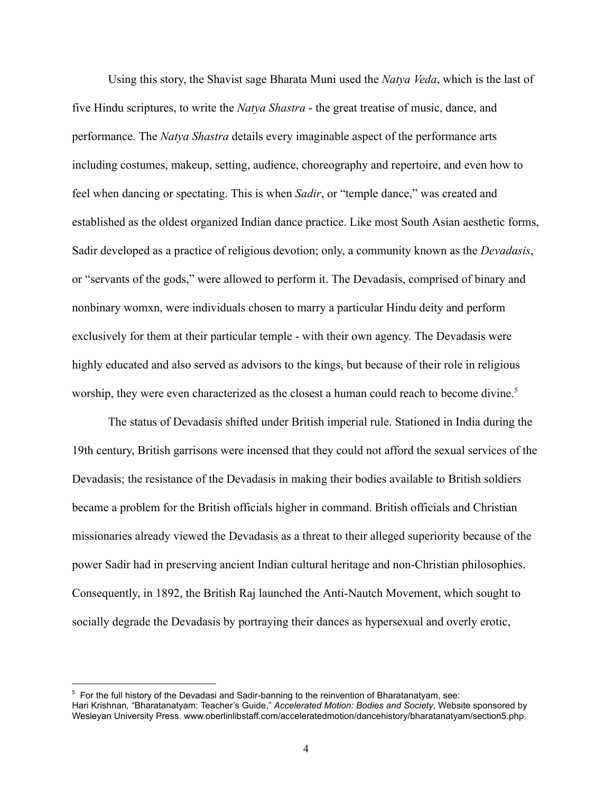Using this story, the Shavist sage Bharata Muni used the *Natya Veda* , which is the last of five Hindu scriptures, to write the *Natya Shastra*  the great treatise of music, dance, and performance. The *Natya Shastra* details every imaginable aspect of the performance arts including costumes, makeup, setting, audience, choreography and repertoire, and even how to feel when dancing or spectating. This is when *Sadir* , or "temple dance," was created and established as the oldest organized Indian dance practice. Like most South Asian aesthetic forms, Sadir developed as a practice of religious devotion; only, a community known as the *Devadasis* , or "servants of the gods," were allowed to perform it. The Devadasis, comprised of binary and nonbinary womxn, were individuals chosen to marry a particular Hindu deity and perform exclusively for them at their particular temple - with their own agency. The Devadasis were highly educated and also served as advisors to the kings, but because of their role in religious worship, they were even characterized as the closest a human could reach to become divine.<sup>5</sup>

The status of Devadasis shifted under British imperial rule. Stationed in India during the 19th century, British garrisons were incensed that they could not afford the sexual services of the Devadasis; the resistance of the Devadasis in making their bodies available to British soldiers became a problem for the British officials higher in command. British officials and Christian missionaries already viewed the Devadasis as a threat to their alleged superiority because of the power Sadir had in preserving ancient Indian cultural heritage and non-Christian philosophies. Consequently, in 1892, the British Raj launched the Anti-Nautch Movement, which sought to socially degrade the Devadasis by portraying their dances as hypersexual and overly erotic,

<sup>&</sup>lt;sup>5</sup> For the full history of the Devadasi and Sadir-banning to the reinvention of Bharatanatyam, see: Hari Krishnan *,* "Bharatanatyam: Teacher's Guide," *Accelerated Motion: Bodies and Society* , Website sponsored by Wesleyan University Press. www.oberlinlibstaff.com/acceleratedmotion/dancehistory/bharatanatyam/section5.php.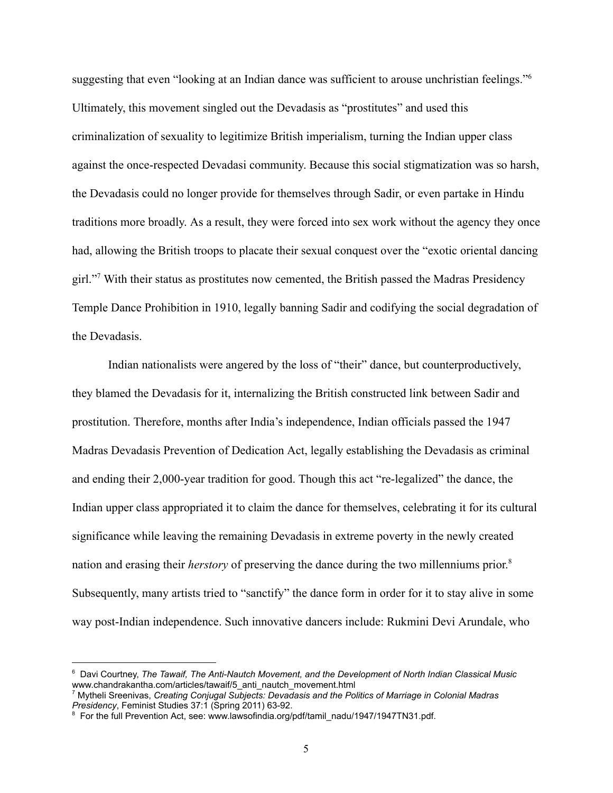suggesting that even "looking at an Indian dance was sufficient to arouse unchristian feelings."<sup>6</sup> Ultimately, this movement singled out the Devadasis as "prostitutes" and used this criminalization of sexuality to legitimize British imperialism, turning the Indian upper class against the once-respected Devadasi community. Because this social stigmatization was so harsh, the Devadasis could no longer provide for themselves through Sadir, or even partake in Hindu traditions more broadly. As a result, they were forced into sex work without the agency they once had, allowing the British troops to placate their sexual conquest over the "exotic oriental dancing girl." With their status as prostitutes now cemented, the British passed the Madras Presidency <sup>7</sup> Temple Dance Prohibition in 1910, legally banning Sadir and codifying the social degradation of the Devadasis.

Indian nationalists were angered by the loss of "their" dance, but counterproductively, they blamed the Devadasis for it, internalizing the British constructed link between Sadir and prostitution. Therefore, months after India's independence, Indian officials passed the 1947 Madras Devadasis Prevention of Dedication Act, legally establishing the Devadasis as criminal and ending their 2,000-year tradition for good. Though this act "re-legalized" the dance, the Indian upper class appropriated it to claim the dance for themselves, celebrating it for its cultural significance while leaving the remaining Devadasis in extreme poverty in the newly created nation and erasing their *herstory*  of preserving the dance during the two millenniums prior. 8 Subsequently, many artists tried to "sanctify" the dance form in order for it to stay alive in some way post-Indian independence. Such innovative dancers include: Rukmini Devi Arundale, who

 $^{\rm 6}$  Davi Courtney, *The Tawaif, The Anti-Nautch Movement, and the Development of North Indian Classical Music* www.chandrakantha.com/articles/tawaif/5\_anti\_nautch\_movement.html

<sup>7</sup> Mytheli Sreenivas, *Creating Conjugal Subjects: Devadasis and the Politics of Marriage in Colonial Madras Presidency*, Feminist Studies 37:1 (Spring 2011) 63-92.

<sup>&</sup>lt;sup>8</sup> For the full Prevention Act, see: www.lawsofindia.org/pdf/tamil\_nadu/1947/1947TN31.pdf.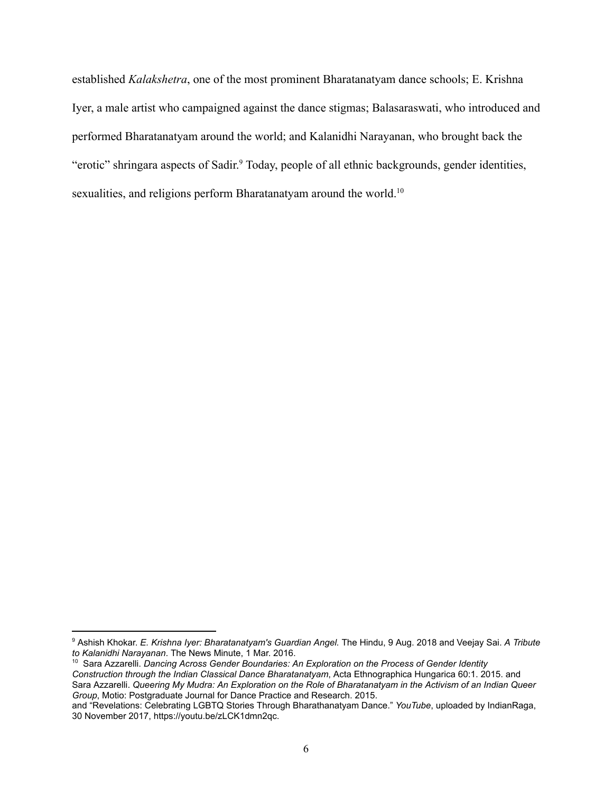established *Kalakshetra* , one of the most prominent Bharatanatyam dance schools; E. Krishna Iyer, a male artist who campaigned against the dance stigmas; Balasaraswati, who introduced and performed Bharatanatyam around the world; and Kalanidhi Narayanan, who brought back the "erotic" shringara aspects of Sadir.<sup>9</sup> Today, people of all ethnic backgrounds, gender identities, sexualities, and religions perform Bharatanatyam around the world.<sup>10</sup>

<sup>9</sup> Ashish Khokar. *E. Krishna Iyer: Bharatanatyam's Guardian Angel.*  The Hindu, 9 Aug. 2018 and Veejay Sai. *A Tribute to Kalanidhi Narayanan* . The News Minute, 1 Mar. 2016. 10 Sara Azzarelli. *Dancing Across Gender Boundaries: An Exploration on the Process of Gender Identity*

*Construction through the Indian Classical Dance Bharatanatyam* , Acta Ethnographica Hungarica 60:1. 2015. and Sara Azzarelli. *Queering My Mudra: An Exploration on the Role of Bharatanatyam in the Activism of an Indian Queer Group* , Motio: Postgraduate Journal for Dance Practice and Research. 2015.

and "Revelations: Celebrating LGBTQ Stories Through Bharathanatyam Dance." *YouTube* , uploaded by IndianRaga, 30 November 2017, https://youtu.be/zLCK1dmn2qc.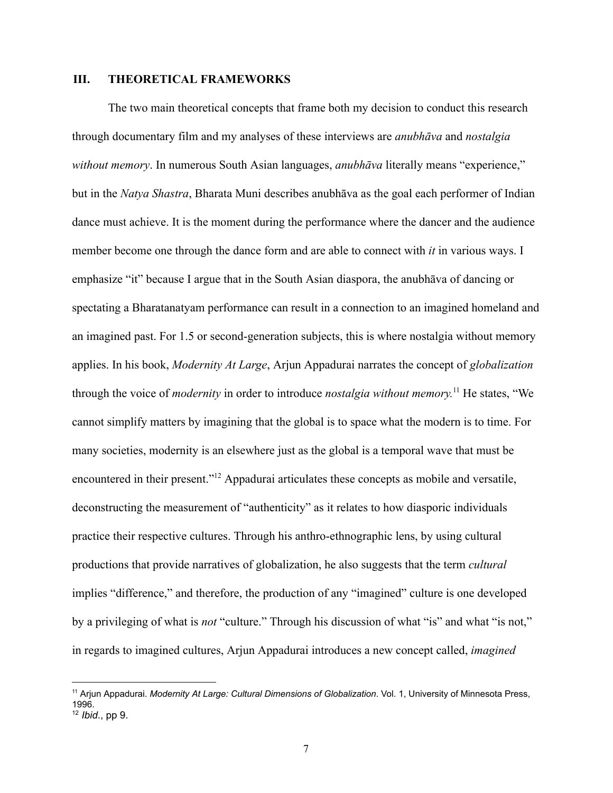# **III. THEORETICAL FRAMEWORKS**

The two main theoretical concepts that frame both my decision to conduct this research through documentary film and my analyses of these interviews are *anubhāva*  and *nostalgia without memory* . In numerous South Asian languages, *anubhāva*  literally means "experience," but in the *Natya Shastra* , Bharata Muni describes anubhāva as the goal each performer of Indian dance must achieve. It is the moment during the performance where the dancer and the audience member become one through the dance form and are able to connect with *it* in various ways. I emphasize "it" because I argue that in the South Asian diaspora, the anubhāva of dancing or spectating a Bharatanatyam performance can result in a connection to an imagined homeland and an imagined past. For 1.5 or second-generation subjects, this is where nostalgia without memory applies. In his book, *Modernity At Large* , Arjun Appadurai narrates the concept of *globalization* through the voice of *modernity* in order to introduce *nostalgia without memory*.<sup>11</sup> He states, "We cannot simplify matters by imagining that the global is to space what the modern is to time. For many societies, modernity is an elsewhere just as the global is a temporal wave that must be encountered in their present."<sup>12</sup> Appadurai articulates these concepts as mobile and versatile, deconstructing the measurement of "authenticity" as it relates to how diasporic individuals practice their respective cultures. Through his anthro-ethnographic lens, by using cultural productions that provide narratives of globalization, he also suggests that the term *cultural* implies "difference," and therefore, the production of any "imagined" culture is one developed by a privileging of what is *not* "culture." Through his discussion of what "is" and what "is not," in regards to imagined cultures, Arjun Appadurai introduces a new concept called, *imagined*

<sup>&</sup>lt;sup>11</sup> Arjun Appadurai. *Modernity At Large: Cultural Dimensions of Globalization*. Vol. 1, University of Minnesota Press, 1996.

<sup>12</sup> *Ibid*., pp 9.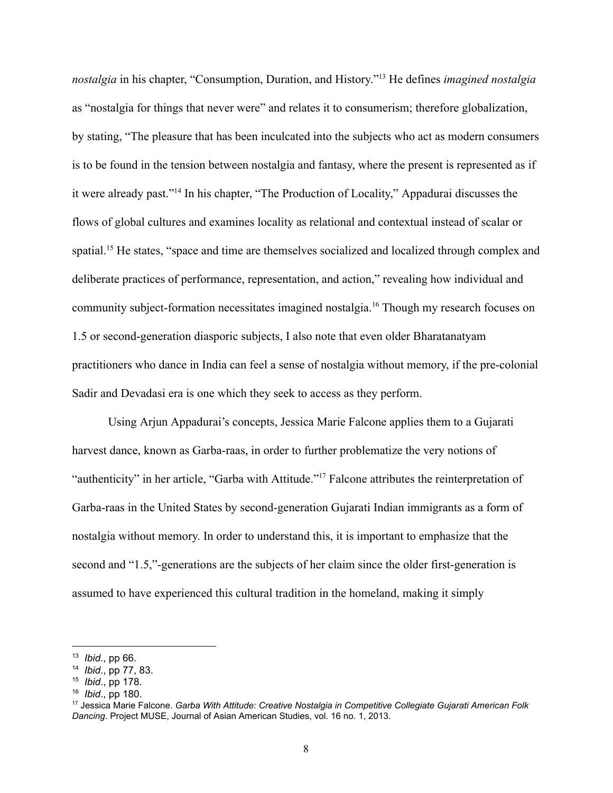*nostalgia* in his chapter, "Consumption, Duration, and History."<sup>13</sup> He defines *imagined nostalgia* as "nostalgia for things that never were" and relates it to consumerism; therefore globalization, by stating, "The pleasure that has been inculcated into the subjects who act as modern consumers is to be found in the tension between nostalgia and fantasy, where the present is represented as if it were already past."<sup>14</sup> In his chapter, "The Production of Locality," Appadurai discusses the flows of global cultures and examines locality as relational and contextual instead of scalar or spatial.<sup>15</sup> He states, "space and time are themselves socialized and localized through complex and deliberate practices of performance, representation, and action," revealing how individual and community subject-formation necessitates imagined nostalgia. <sup>16</sup> Though my research focuses on 1.5 or second-generation diasporic subjects, I also note that even older Bharatanatyam practitioners who dance in India can feel a sense of nostalgia without memory, if the precolonial Sadir and Devadasi era is one which they seek to access as they perform.

Using Arjun Appadurai's concepts, Jessica Marie Falcone applies them to a Gujarati harvest dance, known as Garba-raas, in order to further problematize the very notions of "authenticity" in her article, "Garba with Attitude."<sup>17</sup> Falcone attributes the reinterpretation of Garba-raas in the United States by second-generation Gujarati Indian immigrants as a form of nostalgia without memory. In order to understand this, it is important to emphasize that the second and "1.5,"-generations are the subjects of her claim since the older first-generation is assumed to have experienced this cultural tradition in the homeland, making it simply

<sup>13</sup> *Ibid*., pp 66.

<sup>14</sup> *Ibid*., pp 77, 83.

<sup>15</sup> *Ibid*., pp 178.

<sup>16</sup> *Ibid*., pp 180.

<sup>17</sup> Jessica Marie Falcone. *Garba With Attitude: Creative Nostalgia in Competitive Collegiate Gujarati American Folk Dancing* . Project MUSE, Journal of Asian American Studies, vol. 16 no. 1, 2013.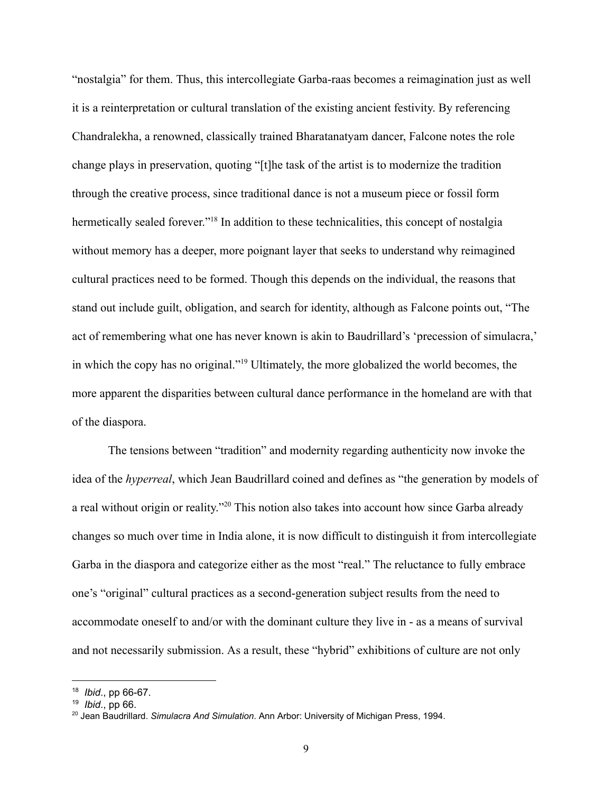"nostalgia" for them. Thus, this intercollegiate Garba-raas becomes a reimagination just as well it is a reinterpretation or cultural translation of the existing ancient festivity. By referencing Chandralekha, a renowned, classically trained Bharatanatyam dancer, Falcone notes the role change plays in preservation, quoting "[t]he task of the artist is to modernize the tradition through the creative process, since traditional dance is not a museum piece or fossil form hermetically sealed forever."<sup>18</sup> In addition to these technicalities, this concept of nostalgia without memory has a deeper, more poignant layer that seeks to understand why reimagined cultural practices need to be formed. Though this depends on the individual, the reasons that stand out include guilt, obligation, and search for identity, although as Falcone points out, "The act of remembering what one has never known is akin to Baudrillard's 'precession of simulacra,' in which the copy has no original."<sup>19</sup> Ultimately, the more globalized the world becomes, the more apparent the disparities between cultural dance performance in the homeland are with that of the diaspora.

The tensions between "tradition" and modernity regarding authenticity now invoke the idea of the *hyperreal*, which Jean Baudrillard coined and defines as "the generation by models of a real without origin or reality."<sup>20</sup> This notion also takes into account how since Garba already changes so much over time in India alone, it is now difficult to distinguish it from intercollegiate Garba in the diaspora and categorize either as the most "real." The reluctance to fully embrace one's "original" cultural practices as a second-generation subject results from the need to accommodate oneself to and/or with the dominant culture they live in - as a means of survival and not necessarily submission. As a result, these "hybrid" exhibitions of culture are not only

<sup>&</sup>lt;sup>18</sup> *Ibid.*, pp 66-67.

<sup>19</sup> *Ibid*., pp 66.

<sup>&</sup>lt;sup>20</sup> Jean Baudrillard. *Simulacra And Simulation.* Ann Arbor: University of Michigan Press, 1994.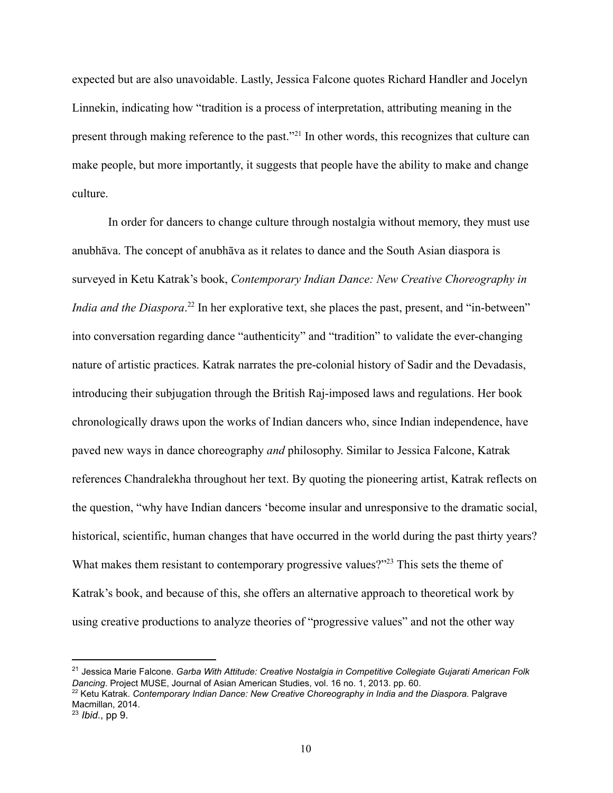expected but are also unavoidable. Lastly, Jessica Falcone quotes Richard Handler and Jocelyn Linnekin, indicating how "tradition is a process of interpretation, attributing meaning in the present through making reference to the past."<sup>21</sup> In other words, this recognizes that culture can make people, but more importantly, it suggests that people have the ability to make and change culture.

In order for dancers to change culture through nostalgia without memory, they must use anubhāva. The concept of anubhāva as it relates to dance and the South Asian diaspora is surveyed in Ketu Katrak's book, *Contemporary Indian Dance: New Creative Choreography in India and the Diaspora*.<sup>22</sup> In her explorative text, she places the past, present, and "in-between" into conversation regarding dance "authenticity" and "tradition" to validate the everchanging nature of artistic practices. Katrak narrates the precolonial history of Sadir and the Devadasis, introducing their subjugation through the British Raj-imposed laws and regulations. Her book chronologically draws upon the works of Indian dancers who, since Indian independence, have paved new ways in dance choreography *and*  philosophy. Similar to Jessica Falcone, Katrak references Chandralekha throughout her text. By quoting the pioneering artist, Katrak reflects on the question, "why have Indian dancers 'become insular and unresponsive to the dramatic social, historical, scientific, human changes that have occurred in the world during the past thirty years? What makes them resistant to contemporary progressive values?"<sup>23</sup> This sets the theme of Katrak's book, and because of this, she offers an alternative approach to theoretical work by using creative productions to analyze theories of "progressive values" and not the other way

<sup>&</sup>lt;sup>21</sup> Jessica Marie Falcone. Garba With Attitude: Creative Nostalgia in Competitive Collegiate Gujarati American Folk *Dancing* . Project MUSE, Journal of Asian American Studies, vol. 16 no. 1, 2013. pp. 60.

<sup>&</sup>lt;sup>22</sup> Ketu Katrak. *Contemporary Indian Dance: New Creative Choreography in India and the Diaspora. Palgrave* Macmillan, 2014.

<sup>23</sup> *Ibid*., pp 9.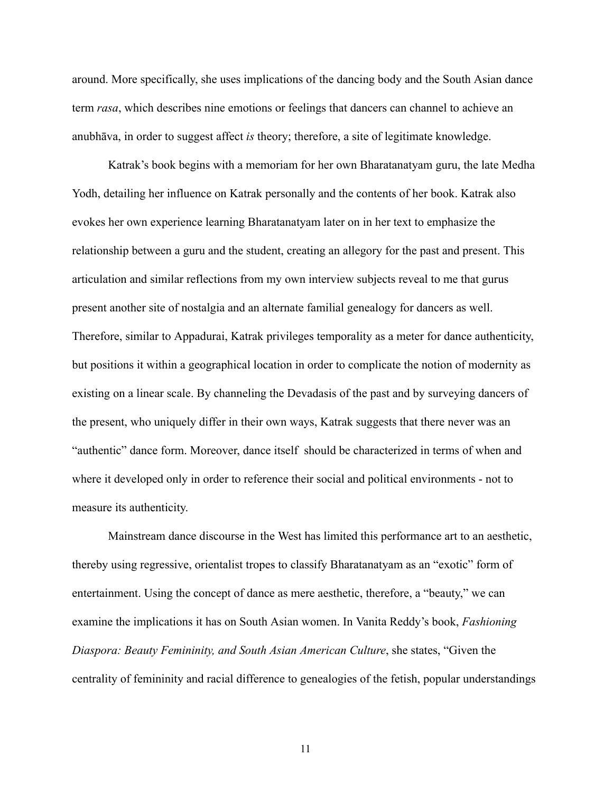around. More specifically, she uses implications of the dancing body and the South Asian dance term *rasa* , which describes nine emotions or feelings that dancers can channel to achieve an anubhāva, in order to suggest affect *is* theory; therefore, a site of legitimate knowledge.

Katrak's book begins with a memoriam for her own Bharatanatyam guru, the late Medha Yodh, detailing her influence on Katrak personally and the contents of her book. Katrak also evokes her own experience learning Bharatanatyam later on in her text to emphasize the relationship between a guru and the student, creating an allegory for the past and present. This articulation and similar reflections from my own interview subjects reveal to me that gurus present another site of nostalgia and an alternate familial genealogy for dancers as well. Therefore, similar to Appadurai, Katrak privileges temporality as a meter for dance authenticity, but positions it within a geographical location in order to complicate the notion of modernity as existing on a linear scale. By channeling the Devadasis of the past and by surveying dancers of the present, who uniquely differ in their own ways, Katrak suggests that there never was an "authentic" dance form. Moreover, dance itself should be characterized in terms of when and where it developed only in order to reference their social and political environments - not to measure its authenticity.

Mainstream dance discourse in the West has limited this performance art to an aesthetic, thereby using regressive, orientalist tropes to classify Bharatanatyam as an "exotic" form of entertainment. Using the concept of dance as mere aesthetic, therefore, a "beauty," we can examine the implications it has on South Asian women. In Vanita Reddy's book, *Fashioning Diaspora: Beauty Femininity, and South Asian American Culture, she states, "Given the* centrality of femininity and racial difference to genealogies of the fetish, popular understandings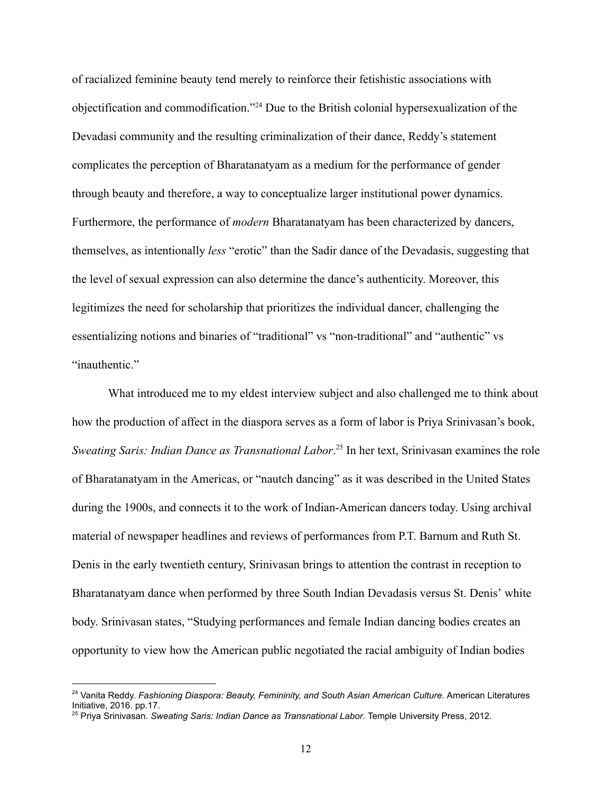of racialized feminine beauty tend merely to reinforce their fetishistic associations with objectification and commodification."<sup>24</sup> Due to the British colonial hypersexualization of the Devadasi community and the resulting criminalization of their dance, Reddy's statement complicates the perception of Bharatanatyam as a medium for the performance of gender through beauty and therefore, a way to conceptualize larger institutional power dynamics. Furthermore, the performance of *modern*  Bharatanatyam has been characterized by dancers, themselves, as intentionally *less*  "erotic" than the Sadir dance of the Devadasis, suggesting that the level of sexual expression can also determine the dance's authenticity. Moreover, this legitimizes the need for scholarship that prioritizes the individual dancer, challenging the essentializing notions and binaries of "traditional" vs "non-traditional" and "authentic" vs "inauthentic."

What introduced me to my eldest interview subject and also challenged me to think about how the production of affect in the diaspora serves as a form of labor is Priya Srinivasan's book, *Sweating Saris: Indian Dance as Transnational Labor.*<sup>25</sup> In her text, Srinivasan examines the role of Bharatanatyam in the Americas, or "nautch dancing" as it was described in the United States during the 1900s, and connects it to the work of Indian-American dancers today. Using archival material of newspaper headlines and reviews of performances from P.T. Barnum and Ruth St. Denis in the early twentieth century, Srinivasan brings to attention the contrast in reception to Bharatanatyam dance when performed by three South Indian Devadasis versus St. Denis' white body. Srinivasan states, "Studying performances and female Indian dancing bodies creates an opportunity to view how the American public negotiated the racial ambiguity of Indian bodies

<sup>&</sup>lt;sup>24</sup> Vanita Reddy. *Fashioning Diaspora: Beauty, Femininity, and South Asian American Culture.* American Literatures Initiative, 2016. pp.17.

<sup>&</sup>lt;sup>25</sup> Priya Srinivasan. *Sweating Saris: Indian Dance as Transnational Labor*. Temple University Press, 2012.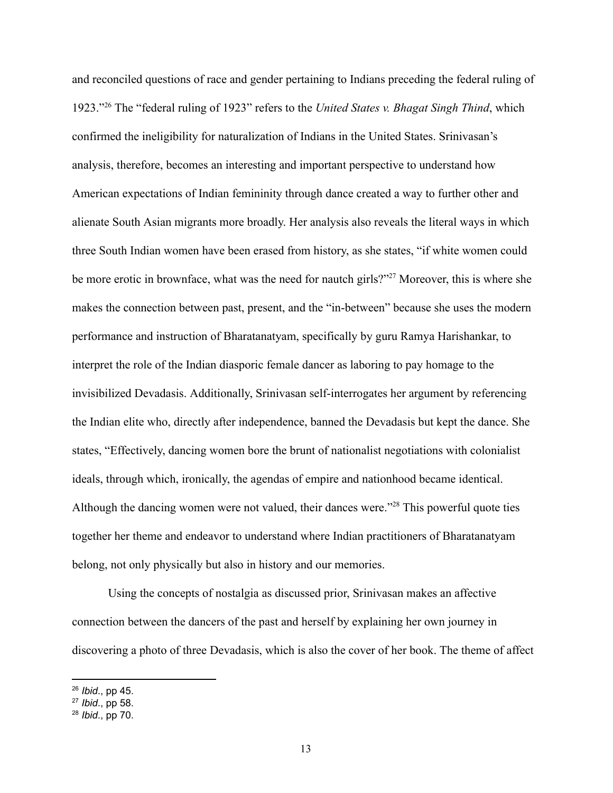and reconciled questions of race and gender pertaining to Indians preceding the federal ruling of 1923." The "federal ruling of 1923" refers to the *United States v. Bhagat Singh Thind* , which <sup>26</sup> confirmed the ineligibility for naturalization of Indians in the United States. Srinivasan's analysis, therefore, becomes an interesting and important perspective to understand how American expectations of Indian femininity through dance created a way to further other and alienate South Asian migrants more broadly. Her analysis also reveals the literal ways in which three South Indian women have been erased from history, as she states, "if white women could be more erotic in brownface, what was the need for nautch girls?"<sup>27</sup> Moreover, this is where she makes the connection between past, present, and the "in-between" because she uses the modern performance and instruction of Bharatanatyam, specifically by guru Ramya Harishankar, to interpret the role of the Indian diasporic female dancer as laboring to pay homage to the invisibilized Devadasis. Additionally, Srinivasan self-interrogates her argument by referencing the Indian elite who, directly after independence, banned the Devadasis but kept the dance. She states, "Effectively, dancing women bore the brunt of nationalist negotiations with colonialist ideals, through which, ironically, the agendas of empire and nationhood became identical. Although the dancing women were not valued, their dances were."<sup>28</sup> This powerful quote ties together her theme and endeavor to understand where Indian practitioners of Bharatanatyam belong, not only physically but also in history and our memories.

Using the concepts of nostalgia as discussed prior, Srinivasan makes an affective connection between the dancers of the past and herself by explaining her own journey in discovering a photo of three Devadasis, which is also the cover of her book. The theme of affect

<sup>26</sup> *Ibid*., pp 45.

<sup>27</sup> *Ibid*., pp 58.

<sup>28</sup> *Ibid*., pp 70.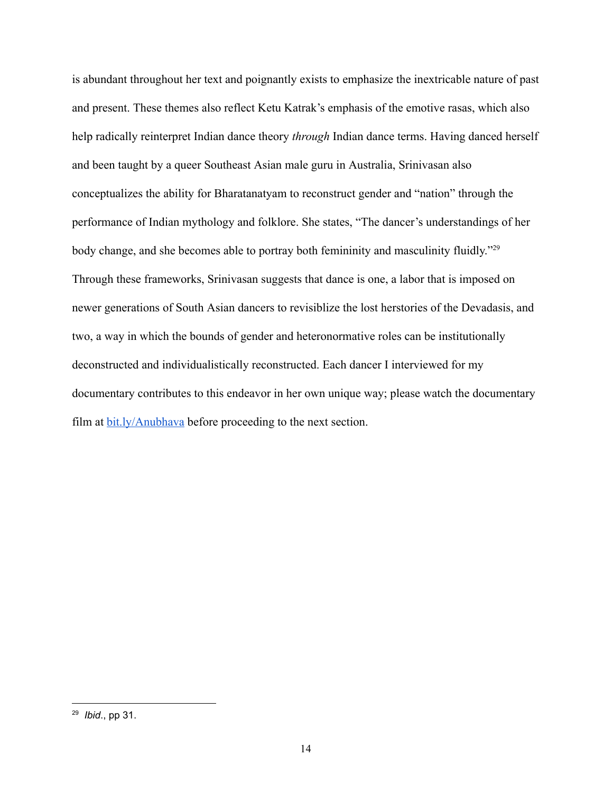is abundant throughout her text and poignantly exists to emphasize the inextricable nature of past and present. These themes also reflect Ketu Katrak's emphasis of the emotive rasas, which also help radically reinterpret Indian dance theory *through*  Indian dance terms. Having danced herself and been taught by a queer Southeast Asian male guru in Australia, Srinivasan also conceptualizes the ability for Bharatanatyam to reconstruct gender and "nation" through the performance of Indian mythology and folklore. She states, "The dancer's understandings of her body change, and she becomes able to portray both femininity and masculinity fluidly."<sup>29</sup> Through these frameworks, Srinivasan suggests that dance is one, a labor that is imposed on newer generations of South Asian dancers to revisiblize the lost herstories of the Devadasis, and two, a way in which the bounds of gender and heteronormative roles can be institutionally deconstructed and individualistically reconstructed. Each dancer I interviewed for my documentary contributes to this endeavor in her own unique way; please watch the documentary film at  $bit.ly/Anubhava$  before proceeding to the next section.

<sup>29</sup> *Ibid*., pp 31.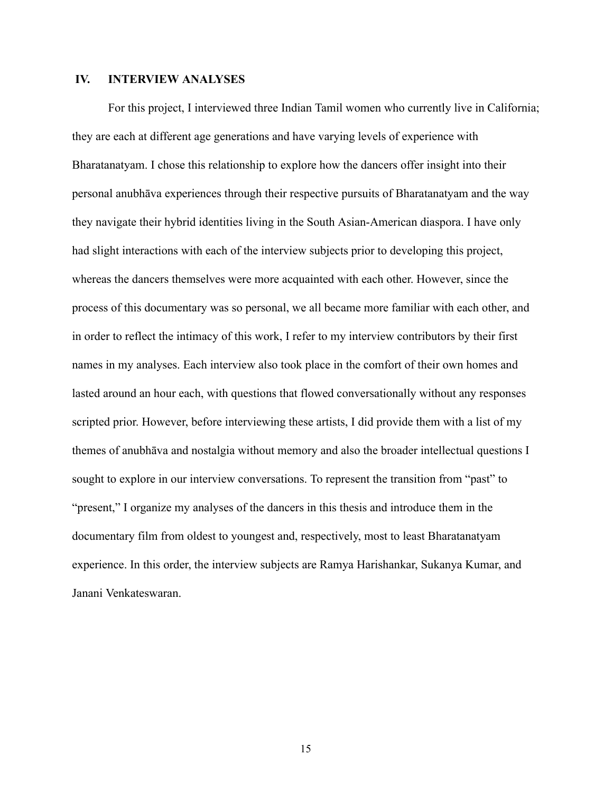# **IV. INTERVIEW ANALYSES**

For this project, I interviewed three Indian Tamil women who currently live in California; they are each at different age generations and have varying levels of experience with Bharatanatyam. I chose this relationship to explore how the dancers offer insight into their personal anubhāva experiences through their respective pursuits of Bharatanatyam and the way they navigate their hybrid identities living in the South Asian-American diaspora. I have only had slight interactions with each of the interview subjects prior to developing this project, whereas the dancers themselves were more acquainted with each other. However, since the process of this documentary was so personal, we all became more familiar with each other, and in order to reflect the intimacy of this work, I refer to my interview contributors by their first names in my analyses. Each interview also took place in the comfort of their own homes and lasted around an hour each, with questions that flowed conversationally without any responses scripted prior. However, before interviewing these artists, I did provide them with a list of my themes of anubhāva and nostalgia without memory and also the broader intellectual questions I sought to explore in our interview conversations. To represent the transition from "past" to "present," I organize my analyses of the dancers in this thesis and introduce them in the documentary film from oldest to youngest and, respectively, most to least Bharatanatyam experience. In this order, the interview subjects are Ramya Harishankar, Sukanya Kumar, and Janani Venkateswaran.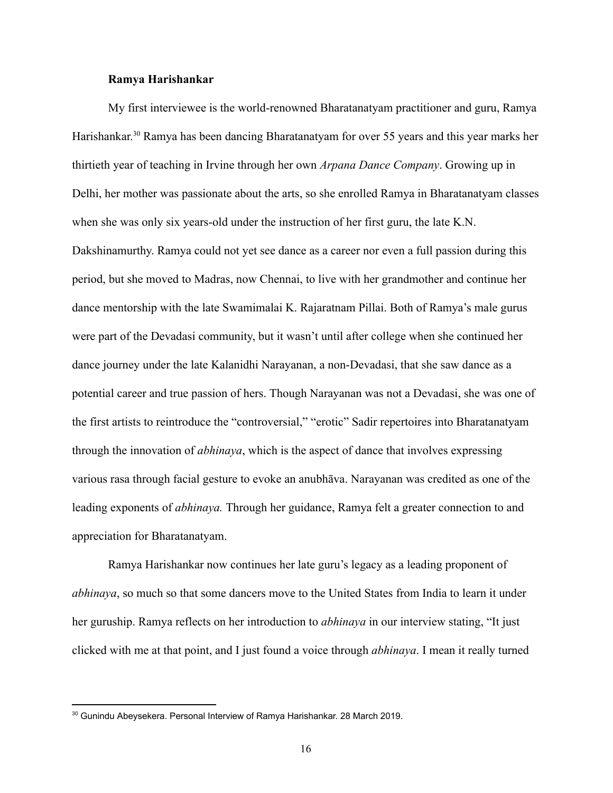#### **Ramya Harishankar**

My first interviewee is the world-renowned Bharatanatyam practitioner and guru, Ramya Harishankar.<sup>30</sup> Ramya has been dancing Bharatanatyam for over 55 years and this year marks her thirtieth year of teaching in Irvine through her own *Arpana Dance Company* . Growing up in Delhi, her mother was passionate about the arts, so she enrolled Ramya in Bharatanatyam classes when she was only six years-old under the instruction of her first guru, the late  $K.N.$ Dakshinamurthy. Ramya could not yet see dance as a career nor even a full passion during this period, but she moved to Madras, now Chennai, to live with her grandmother and continue her dance mentorship with the late Swamimalai K. Rajaratnam Pillai. Both of Ramya's male gurus were part of the Devadasi community, but it wasn't until after college when she continued her dance journey under the late Kalanidhi Narayanan, a non-Devadasi, that she saw dance as a potential career and true passion of hers. Though Narayanan was not a Devadasi, she was one of the first artists to reintroduce the "controversial," "erotic" Sadir repertoires into Bharatanatyam through the innovation of *abhinaya* , which is the aspect of dance that involves expressing various rasa through facial gesture to evoke an anubhāva. Narayanan was credited as one of the leading exponents of *abhinaya.*  Through her guidance, Ramya felt a greater connection to and appreciation for Bharatanatyam.

Ramya Harishankar now continues her late guru's legacy as a leading proponent of *abhinaya*, so much so that some dancers move to the United States from India to learn it under her guruship. Ramya reflects on her introduction to *abhinaya*  in our interview stating, "It just clicked with me at that point, and I just found a voice through *abhinaya* . I mean it really turned

<sup>&</sup>lt;sup>30</sup> Gunindu Abeysekera. Personal Interview of Ramya Harishankar. 28 March 2019.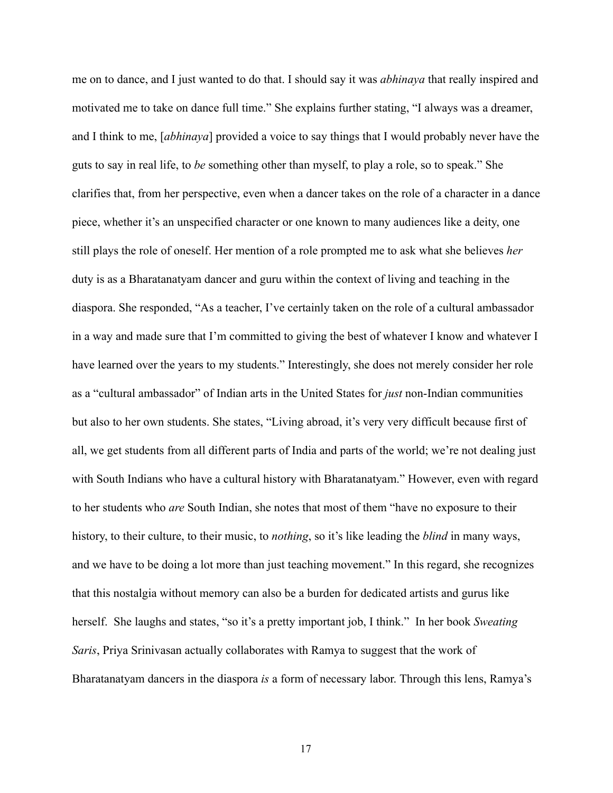me on to dance, and I just wanted to do that. I should say it was *abhinaya*  that really inspired and motivated me to take on dance full time." She explains further stating, "I always was a dreamer, and I think to me, [ *abhinaya* ] provided a voice to say things that I would probably never have the guts to say in real life, to *be*  something other than myself, to play a role, so to speak." She clarifies that, from her perspective, even when a dancer takes on the role of a character in a dance piece, whether it's an unspecified character or one known to many audiences like a deity, one still plays the role of oneself. Her mention of a role prompted me to ask what she believes *her* duty is as a Bharatanatyam dancer and guru within the context of living and teaching in the diaspora. She responded, "As a teacher, I've certainly taken on the role of a cultural ambassador in a way and made sure that I'm committed to giving the best of whatever I know and whatever I have learned over the years to my students." Interestingly, she does not merely consider her role as a "cultural ambassador" of Indian arts in the United States for *just* non-Indian communities but also to her own students. She states, "Living abroad, it's very very difficult because first of all, we get students from all different parts of India and parts of the world; we're not dealing just with South Indians who have a cultural history with Bharatanatyam." However, even with regard to her students who *are*  South Indian, she notes that most of them "have no exposure to their history, to their culture, to their music, to *nothing*, so it's like leading the *blind* in many ways, and we have to be doing a lot more than just teaching movement." In this regard, she recognizes that this nostalgia without memory can also be a burden for dedicated artists and gurus like herself. She laughs and states, "so it's a pretty important job, I think." In her book *Sweating Saris* , Priya Srinivasan actually collaborates with Ramya to suggest that the work of Bharatanatyam dancers in the diaspora *is* a form of necessary labor. Through this lens, Ramya's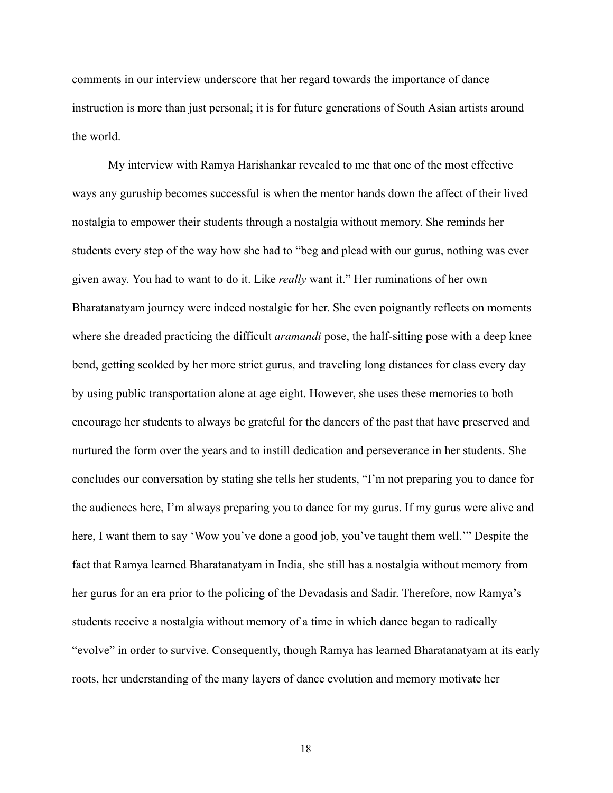comments in our interview underscore that her regard towards the importance of dance instruction is more than just personal; it is for future generations of South Asian artists around the world.

My interview with Ramya Harishankar revealed to me that one of the most effective ways any guruship becomes successful is when the mentor hands down the affect of their lived nostalgia to empower their students through a nostalgia without memory. She reminds her students every step of the way how she had to "beg and plead with our gurus, nothing was ever given away. You had to want to do it. Like *really*  want it." Her ruminations of her own Bharatanatyam journey were indeed nostalgic for her. She even poignantly reflects on moments where she dreaded practicing the difficult *aramandi* pose, the half-sitting pose with a deep knee bend, getting scolded by her more strict gurus, and traveling long distances for class every day by using public transportation alone at age eight. However, she uses these memories to both encourage her students to always be grateful for the dancers of the past that have preserved and nurtured the form over the years and to instill dedication and perseverance in her students. She concludes our conversation by stating she tells her students, "I'm not preparing you to dance for the audiences here, I'm always preparing you to dance for my gurus. If my gurus were alive and here, I want them to say 'Wow you've done a good job, you've taught them well.'" Despite the fact that Ramya learned Bharatanatyam in India, she still has a nostalgia without memory from her gurus for an era prior to the policing of the Devadasis and Sadir. Therefore, now Ramya's students receive a nostalgia without memory of a time in which dance began to radically "evolve" in order to survive. Consequently, though Ramya has learned Bharatanatyam at its early roots, her understanding of the many layers of dance evolution and memory motivate her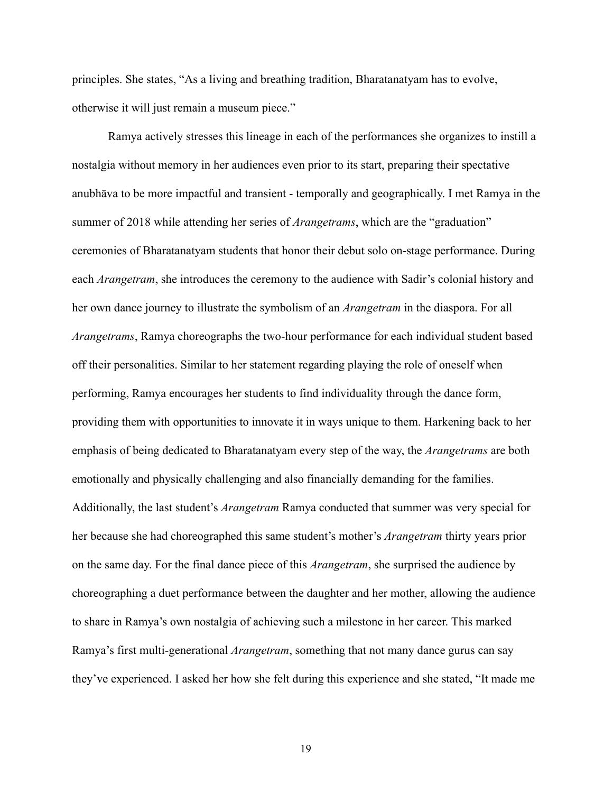principles. She states, "As a living and breathing tradition, Bharatanatyam has to evolve, otherwise it will just remain a museum piece."

Ramya actively stresses this lineage in each of the performances she organizes to instill a nostalgia without memory in her audiences even prior to its start, preparing their spectative anubhāva to be more impactful and transient temporally and geographically. I met Ramya in the summer of 2018 while attending her series of *Arangetrams*, which are the "graduation" ceremonies of Bharatanatyam students that honor their debut solo onstage performance. During each *Arangetram*, she introduces the ceremony to the audience with Sadir's colonial history and her own dance journey to illustrate the symbolism of an *Arangetram*  in the diaspora. For all *Arangetrams*, Ramya choreographs the two-hour performance for each individual student based off their personalities. Similar to her statement regarding playing the role of oneself when performing, Ramya encourages her students to find individuality through the dance form, providing them with opportunities to innovate it in ways unique to them. Harkening back to her emphasis of being dedicated to Bharatanatyam every step of the way, the *Arangetrams*  are both emotionally and physically challenging and also financially demanding for the families. Additionally, the last student's *Arangetram*  Ramya conducted that summer was very special for her because she had choreographed this same student's mother's *Arangetram*  thirty years prior on the same day. For the final dance piece of this *Arangetram* , she surprised the audience by choreographing a duet performance between the daughter and her mother, allowing the audience to share in Ramya's own nostalgia of achieving such a milestone in her career. This marked Ramya's first multi-generational *Arangetram*, something that not many dance gurus can say they've experienced. I asked her how she felt during this experience and she stated, "It made me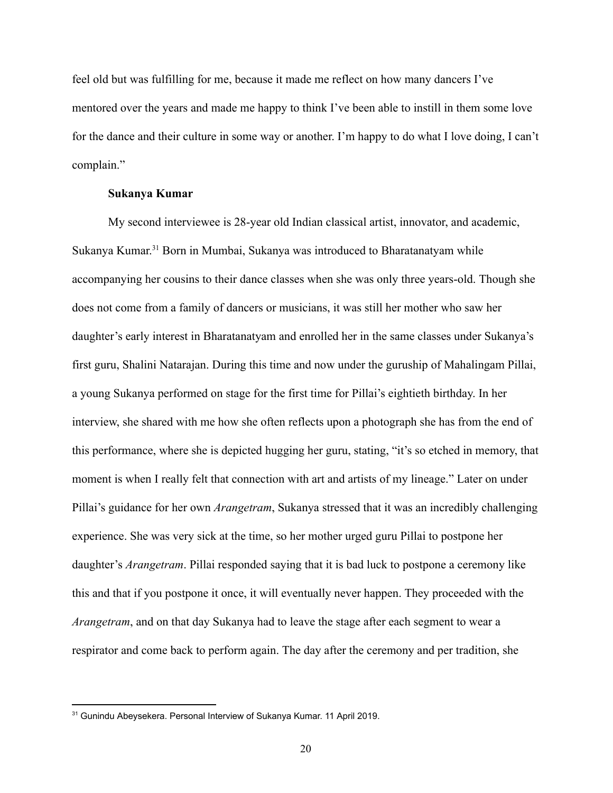feel old but was fulfilling for me, because it made me reflect on how many dancers I've mentored over the years and made me happy to think I've been able to instill in them some love for the dance and their culture in some way or another. I'm happy to do what I love doing, I can't complain."

#### **Sukanya Kumar**

My second interviewee is 28-year old Indian classical artist, innovator, and academic, Sukanya Kumar.<sup>31</sup> Born in Mumbai, Sukanya was introduced to Bharatanatyam while accompanying her cousins to their dance classes when she was only three years-old. Though she does not come from a family of dancers or musicians, it was still her mother who saw her daughter's early interest in Bharatanatyam and enrolled her in the same classes under Sukanya's first guru, Shalini Natarajan. During this time and now under the guruship of Mahalingam Pillai, a young Sukanya performed on stage for the first time for Pillai's eightieth birthday. In her interview, she shared with me how she often reflects upon a photograph she has from the end of this performance, where she is depicted hugging her guru, stating, "it's so etched in memory, that moment is when I really felt that connection with art and artists of my lineage." Later on under Pillai's guidance for her own *Arangetram* , Sukanya stressed that it was an incredibly challenging experience. She was very sick at the time, so her mother urged guru Pillai to postpone her daughter's *Arangetram* . Pillai responded saying that it is bad luck to postpone a ceremony like this and that if you postpone it once, it will eventually never happen. They proceeded with the *Arangetram*, and on that day Sukanya had to leave the stage after each segment to wear a respirator and come back to perform again. The day after the ceremony and per tradition, she

<sup>&</sup>lt;sup>31</sup> Gunindu Abeysekera. Personal Interview of Sukanya Kumar. 11 April 2019.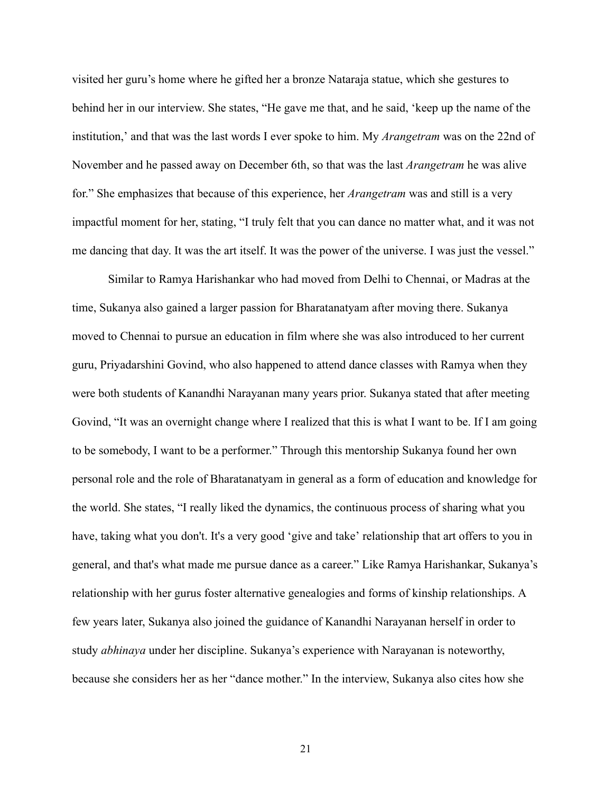visited her guru's home where he gifted her a bronze Nataraja statue, which she gestures to behind her in our interview. She states, "He gave me that, and he said, 'keep up the name of the institution,' and that was the last words I ever spoke to him. My *Arangetram*  was on the 22nd of November and he passed away on December 6th, so that was the last *Arangetram*  he was alive for." She emphasizes that because of this experience, her *Arangetram*  was and still is a very impactful moment for her, stating, "I truly felt that you can dance no matter what, and it was not me dancing that day. It was the art itself. It was the power of the universe. I was just the vessel."

Similar to Ramya Harishankar who had moved from Delhi to Chennai, or Madras at the time, Sukanya also gained a larger passion for Bharatanatyam after moving there. Sukanya moved to Chennai to pursue an education in film where she was also introduced to her current guru, Priyadarshini Govind, who also happened to attend dance classes with Ramya when they were both students of Kanandhi Narayanan many years prior. Sukanya stated that after meeting Govind, "It was an overnight change where I realized that this is what I want to be. If I am going to be somebody, I want to be a performer." Through this mentorship Sukanya found her own personal role and the role of Bharatanatyam in general as a form of education and knowledge for the world. She states, "I really liked the dynamics, the continuous process of sharing what you have, taking what you don't. It's a very good 'give and take' relationship that art offers to you in general, and that's what made me pursue dance as a career." Like Ramya Harishankar, Sukanya's relationship with her gurus foster alternative genealogies and forms of kinship relationships. A few years later, Sukanya also joined the guidance of Kanandhi Narayanan herself in order to study *abhinaya*  under her discipline. Sukanya's experience with Narayanan is noteworthy, because she considers her as her "dance mother." In the interview, Sukanya also cites how she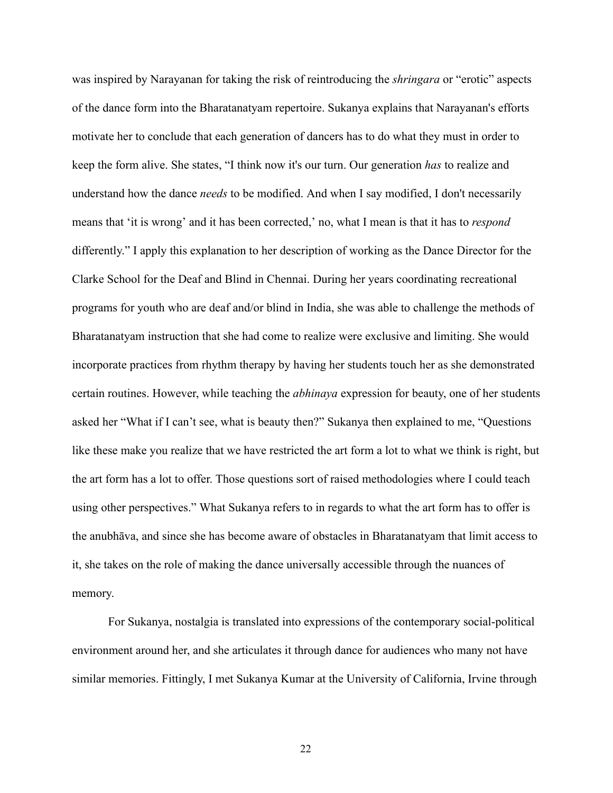was inspired by Narayanan for taking the risk of reintroducing the *shringara*  or "erotic" aspects of the dance form into the Bharatanatyam repertoire. Sukanya explains that Narayanan's efforts motivate her to conclude that each generation of dancers has to do what they must in order to keep the form alive. She states, "I think now it's our turn. Our generation *has*  to realize and understand how the dance *needs*  to be modified. And when I say modified, I don't necessarily means that 'it is wrong' and it has been corrected,' no, what I mean is that it has to *respond* differently." I apply this explanation to her description of working as the Dance Director for the Clarke School for the Deaf and Blind in Chennai. During her years coordinating recreational programs for youth who are deaf and/or blind in India, she was able to challenge the methods of Bharatanatyam instruction that she had come to realize were exclusive and limiting. She would incorporate practices from rhythm therapy by having her students touch her as she demonstrated certain routines. However, while teaching the *abhinaya*  expression for beauty, one of her students asked her "What if I can't see, what is beauty then?" Sukanya then explained to me, "Questions like these make you realize that we have restricted the art form a lot to what we think is right, but the art form has a lot to offer. Those questions sort of raised methodologies where I could teach using other perspectives." What Sukanya refers to in regards to what the art form has to offer is the anubhāva, and since she has become aware of obstacles in Bharatanatyam that limit access to it, she takes on the role of making the dance universally accessible through the nuances of memory.

For Sukanya, nostalgia is translated into expressions of the contemporary social-political environment around her, and she articulates it through dance for audiences who many not have similar memories. Fittingly, I met Sukanya Kumar at the University of California, Irvine through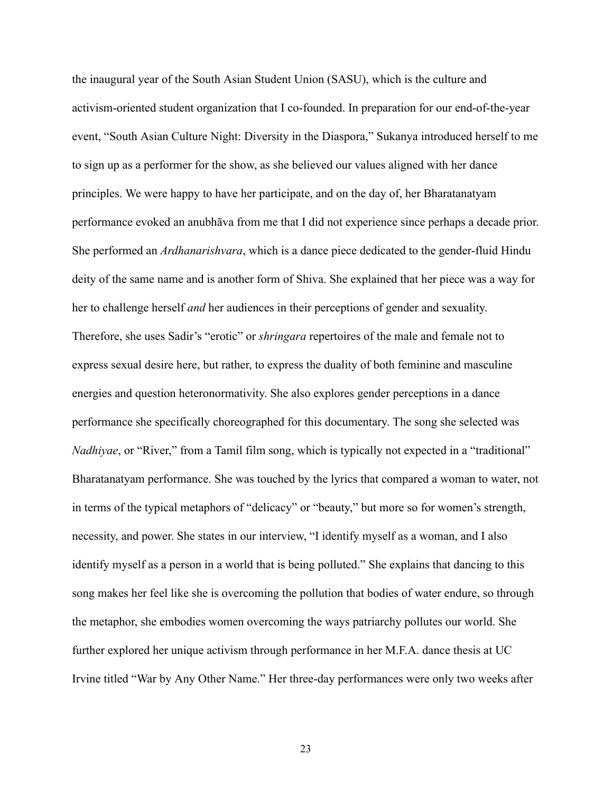the inaugural year of the South Asian Student Union (SASU), which is the culture and activism-oriented student organization that I co-founded. In preparation for our end-of-the-year event, "South Asian Culture Night: Diversity in the Diaspora," Sukanya introduced herself to me to sign up as a performer for the show, as she believed our values aligned with her dance principles. We were happy to have her participate, and on the day of, her Bharatanatyam performance evoked an anubhāva from me that I did not experience since perhaps a decade prior. She performed an *Ardhanarishvara*, which is a dance piece dedicated to the gender-fluid Hindu deity of the same name and is another form of Shiva. She explained that her piece was a way for her to challenge herself *and*  her audiences in their perceptions of gender and sexuality. Therefore, she uses Sadir's "erotic" or *shringara*  repertoires of the male and female not to express sexual desire here, but rather, to express the duality of both feminine and masculine energies and question heteronormativity. She also explores gender perceptions in a dance performance she specifically choreographed for this documentary. The song she selected was *Nadhiyae*, or "River," from a Tamil film song, which is typically not expected in a "traditional" Bharatanatyam performance. She was touched by the lyrics that compared a woman to water, not in terms of the typical metaphors of "delicacy" or "beauty," but more so for women's strength, necessity, and power. She states in our interview, "I identify myself as a woman, and I also identify myself as a person in a world that is being polluted." She explains that dancing to this song makes her feel like she is overcoming the pollution that bodies of water endure, so through the metaphor, she embodies women overcoming the ways patriarchy pollutes our world. She further explored her unique activism through performance in her M.F.A. dance thesis at UC Irvine titled "War by Any Other Name." Her three-day performances were only two weeks after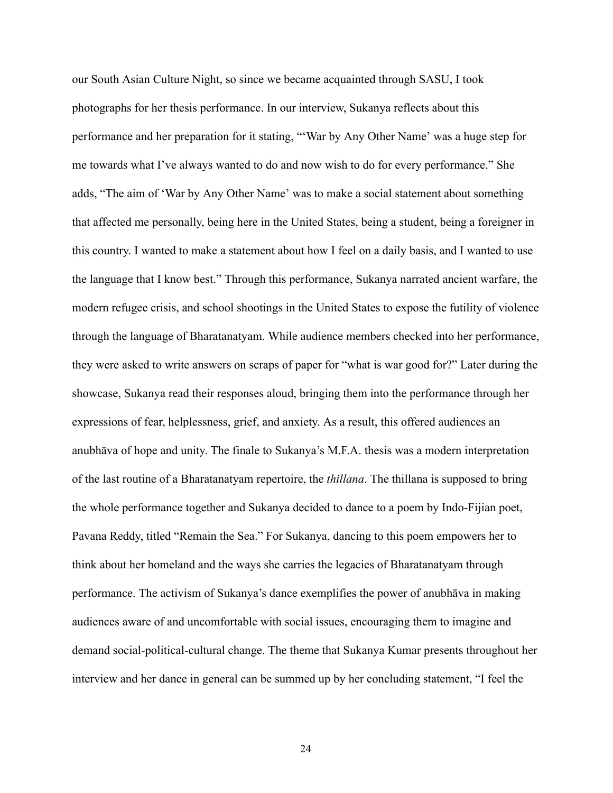our South Asian Culture Night, so since we became acquainted through SASU, I took photographs for her thesis performance. In our interview, Sukanya reflects about this performance and her preparation for it stating, "'War by Any Other Name' was a huge step for me towards what I've always wanted to do and now wish to do for every performance." She adds, "The aim of 'War by Any Other Name' was to make a social statement about something that affected me personally, being here in the United States, being a student, being a foreigner in this country. I wanted to make a statement about how I feel on a daily basis, and I wanted to use the language that I know best." Through this performance, Sukanya narrated ancient warfare, the modern refugee crisis, and school shootings in the United States to expose the futility of violence through the language of Bharatanatyam. While audience members checked into her performance, they were asked to write answers on scraps of paper for "what is war good for?" Later during the showcase, Sukanya read their responses aloud, bringing them into the performance through her expressions of fear, helplessness, grief, and anxiety. As a result, this offered audiences an anubhāva of hope and unity. The finale to Sukanya's M.F.A. thesis was a modern interpretation of the last routine of a Bharatanatyam repertoire, the *thillana*. The thillana is supposed to bring the whole performance together and Sukanya decided to dance to a poem by Indo-Fijian poet, Pavana Reddy, titled "Remain the Sea." For Sukanya, dancing to this poem empowers her to think about her homeland and the ways she carries the legacies of Bharatanatyam through performance. The activism of Sukanya's dance exemplifies the power of anubhāva in making audiences aware of and uncomfortable with social issues, encouraging them to imagine and demand social-political-cultural change. The theme that Sukanya Kumar presents throughout her interview and her dance in general can be summed up by her concluding statement, "I feel the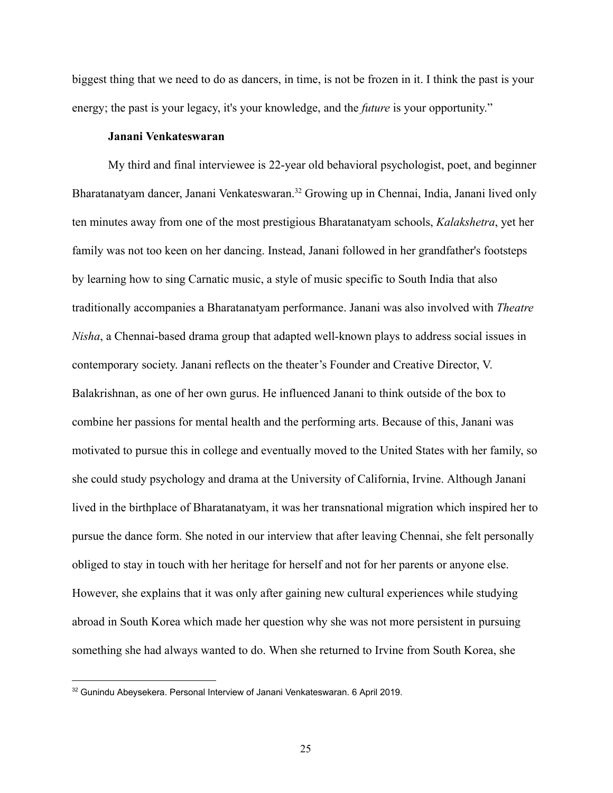biggest thing that we need to do as dancers, in time, is not be frozen in it. I think the past is your energy; the past is your legacy, it's your knowledge, and the *future* is your opportunity."

#### **Janani Venkateswaran**

My third and final interviewee is 22-year old behavioral psychologist, poet, and beginner Bharatanatyam dancer, Janani Venkateswaran.<sup>32</sup> Growing up in Chennai, India, Janani lived only ten minutes away from one of the most prestigious Bharatanatyam schools, *Kalakshetra* , yet her family was not too keen on her dancing. Instead, Janani followed in her grandfather's footsteps by learning how to sing Carnatic music, a style of music specific to South India that also traditionally accompanies a Bharatanatyam performance. Janani was also involved with *Theatre Nisha*, a Chennai-based drama group that adapted well-known plays to address social issues in contemporary society. Janani reflects on the theater's Founder and Creative Director, V. Balakrishnan, as one of her own gurus. He influenced Janani to think outside of the box to combine her passions for mental health and the performing arts. Because of this, Janani was motivated to pursue this in college and eventually moved to the United States with her family, so she could study psychology and drama at the University of California, Irvine. Although Janani lived in the birthplace of Bharatanatyam, it was her transnational migration which inspired her to pursue the dance form. She noted in our interview that after leaving Chennai, she felt personally obliged to stay in touch with her heritage for herself and not for her parents or anyone else. However, she explains that it was only after gaining new cultural experiences while studying abroad in South Korea which made her question why she was not more persistent in pursuing something she had always wanted to do. When she returned to Irvine from South Korea, she

 $32$  Gunindu Abeysekera. Personal Interview of Janani Venkateswaran. 6 April 2019.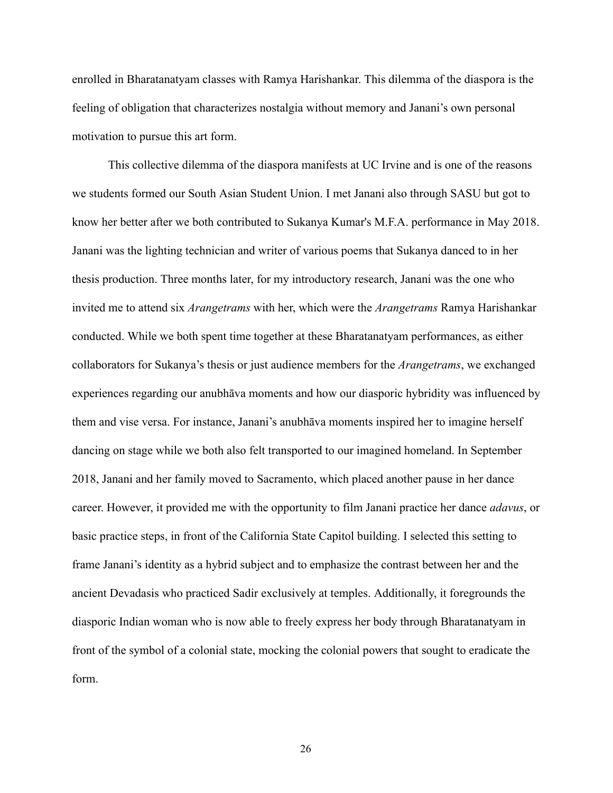enrolled in Bharatanatyam classes with Ramya Harishankar. This dilemma of the diaspora is the feeling of obligation that characterizes nostalgia without memory and Janani's own personal motivation to pursue this art form.

This collective dilemma of the diaspora manifests at UC Irvine and is one of the reasons we students formed our South Asian Student Union. I met Janani also through SASU but got to know her better after we both contributed to Sukanya Kumar's M.F.A. performance in May 2018. Janani was the lighting technician and writer of various poems that Sukanya danced to in her thesis production. Three months later, for my introductory research, Janani was the one who invited me to attend six *Arangetrams* with her, which were the *Arangetrams*  Ramya Harishankar conducted. While we both spent time together at these Bharatanatyam performances, as either collaborators for Sukanya's thesis or just audience members for the *Arangetrams* , we exchanged experiences regarding our anubhāva moments and how our diasporic hybridity was influenced by them and vise versa. For instance, Janani's anubhāva moments inspired her to imagine herself dancing on stage while we both also felt transported to our imagined homeland. In September 2018, Janani and her family moved to Sacramento, which placed another pause in her dance career. However, it provided me with the opportunity to film Janani practice her dance *adavus* , or basic practice steps, in front of the California State Capitol building. I selected this setting to frame Janani's identity as a hybrid subject and to emphasize the contrast between her and the ancient Devadasis who practiced Sadir exclusively at temples. Additionally, it foregrounds the diasporic Indian woman who is now able to freely express her body through Bharatanatyam in front of the symbol of a colonial state, mocking the colonial powers that sought to eradicate the form.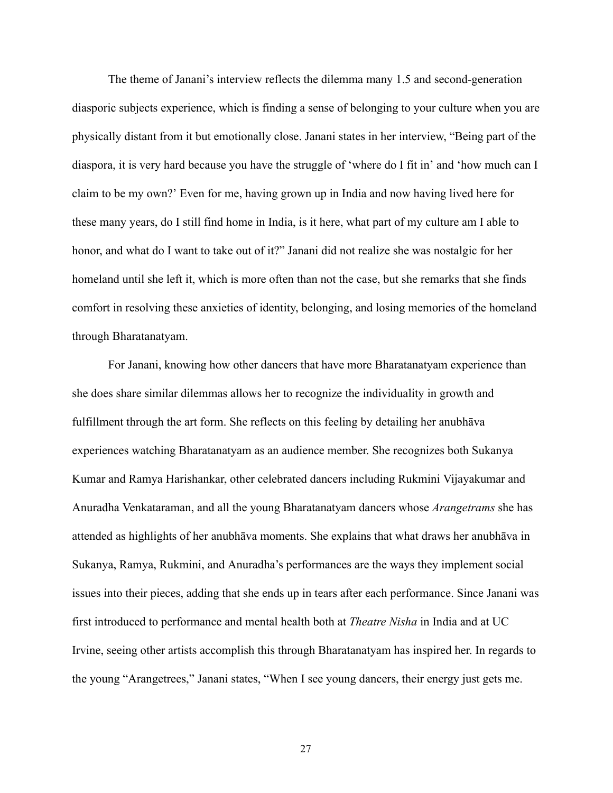The theme of Janani's interview reflects the dilemma many 1.5 and second-generation diasporic subjects experience, which is finding a sense of belonging to your culture when you are physically distant from it but emotionally close. Janani states in her interview, "Being part of the diaspora, it is very hard because you have the struggle of 'where do I fit in' and 'how much can I claim to be my own?' Even for me, having grown up in India and now having lived here for these many years, do I still find home in India, is it here, what part of my culture am I able to honor, and what do I want to take out of it?" Janani did not realize she was nostalgic for her homeland until she left it, which is more often than not the case, but she remarks that she finds comfort in resolving these anxieties of identity, belonging, and losing memories of the homeland through Bharatanatyam.

For Janani, knowing how other dancers that have more Bharatanatyam experience than she does share similar dilemmas allows her to recognize the individuality in growth and fulfillment through the art form. She reflects on this feeling by detailing her anubhāva experiences watching Bharatanatyam as an audience member. She recognizes both Sukanya Kumar and Ramya Harishankar, other celebrated dancers including Rukmini Vijayakumar and Anuradha Venkataraman, and all the young Bharatanatyam dancers whose *Arangetrams*  she has attended as highlights of her anubhāva moments. She explains that what draws her anubhāva in Sukanya, Ramya, Rukmini, and Anuradha's performances are the ways they implement social issues into their pieces, adding that she ends up in tears after each performance. Since Janani was first introduced to performance and mental health both at *Theatre Nisha*  in India and at UC Irvine, seeing other artists accomplish this through Bharatanatyam has inspired her. In regards to the young "Arangetrees," Janani states, "When I see young dancers, their energy just gets me.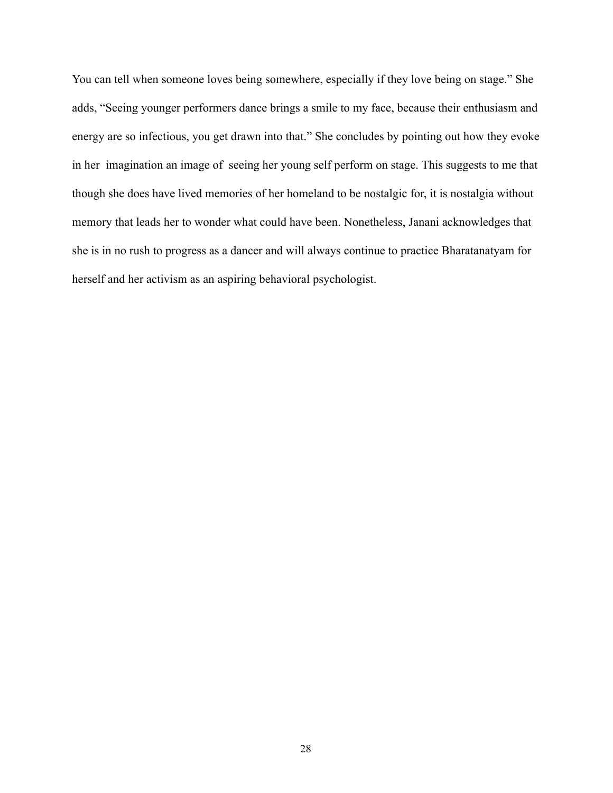You can tell when someone loves being somewhere, especially if they love being on stage." She adds, "Seeing younger performers dance brings a smile to my face, because their enthusiasm and energy are so infectious, you get drawn into that." She concludes by pointing out how they evoke in her imagination an image of seeing her young self perform on stage. This suggests to me that though she does have lived memories of her homeland to be nostalgic for, it is nostalgia without memory that leads her to wonder what could have been. Nonetheless, Janani acknowledges that she is in no rush to progress as a dancer and will always continue to practice Bharatanatyam for herself and her activism as an aspiring behavioral psychologist.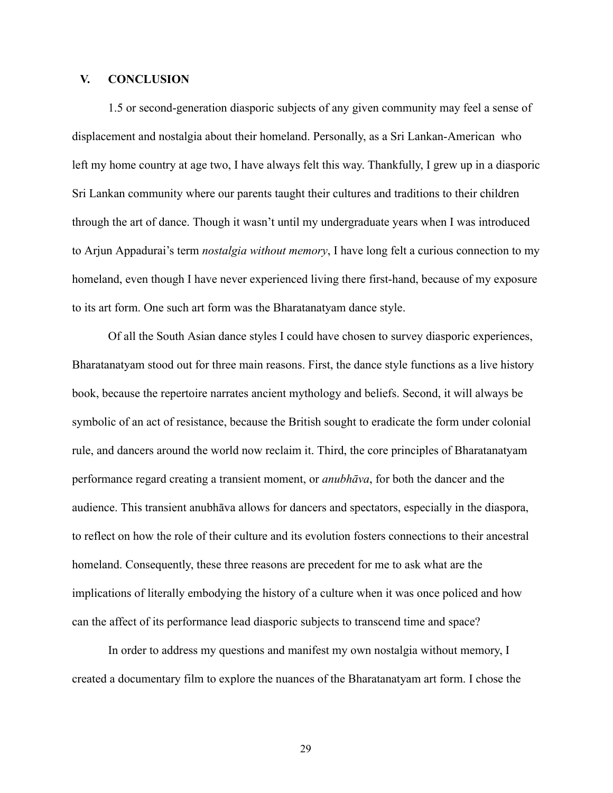# **V. CONCLUSION**

1.5 or second-generation diasporic subjects of any given community may feel a sense of displacement and nostalgia about their homeland. Personally, as a Sri Lankan-American who left my home country at age two, I have always felt this way. Thankfully, I grew up in a diasporic Sri Lankan community where our parents taught their cultures and traditions to their children through the art of dance. Though it wasn't until my undergraduate years when I was introduced to Arjun Appadurai's term *nostalgia without memory* , I have long felt a curious connection to my homeland, even though I have never experienced living there first-hand, because of my exposure to its art form. One such art form was the Bharatanatyam dance style.

Of all the South Asian dance styles I could have chosen to survey diasporic experiences, Bharatanatyam stood out for three main reasons. First, the dance style functions as a live history book, because the repertoire narrates ancient mythology and beliefs. Second, it will always be symbolic of an act of resistance, because the British sought to eradicate the form under colonial rule, and dancers around the world now reclaim it. Third, the core principles of Bharatanatyam performance regard creating a transient moment, or *anubhāva* , for both the dancer and the audience. This transient anubhāva allows for dancers and spectators, especially in the diaspora, to reflect on how the role of their culture and its evolution fosters connections to their ancestral homeland. Consequently, these three reasons are precedent for me to ask what are the implications of literally embodying the history of a culture when it was once policed and how can the affect of its performance lead diasporic subjects to transcend time and space?

In order to address my questions and manifest my own nostalgia without memory, I created a documentary film to explore the nuances of the Bharatanatyam art form. I chose the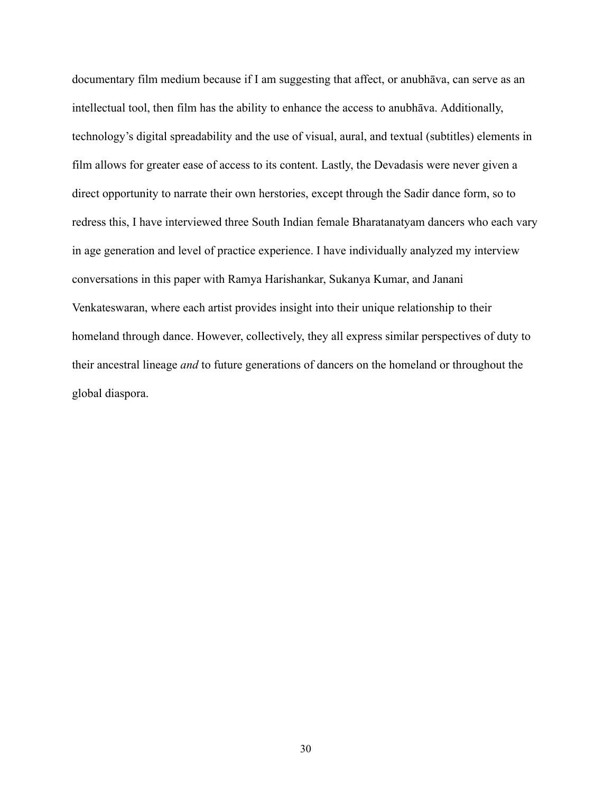documentary film medium because if I am suggesting that affect, or anubhāva, can serve as an intellectual tool, then film has the ability to enhance the access to anubhāva. Additionally, technology's digital spreadability and the use of visual, aural, and textual (subtitles) elements in film allows for greater ease of access to its content. Lastly, the Devadasis were never given a direct opportunity to narrate their own herstories, except through the Sadir dance form, so to redress this, I have interviewed three South Indian female Bharatanatyam dancers who each vary in age generation and level of practice experience. I have individually analyzed my interview conversations in this paper with Ramya Harishankar, Sukanya Kumar, and Janani Venkateswaran, where each artist provides insight into their unique relationship to their homeland through dance. However, collectively, they all express similar perspectives of duty to their ancestral lineage *and*  to future generations of dancers on the homeland or throughout the global diaspora.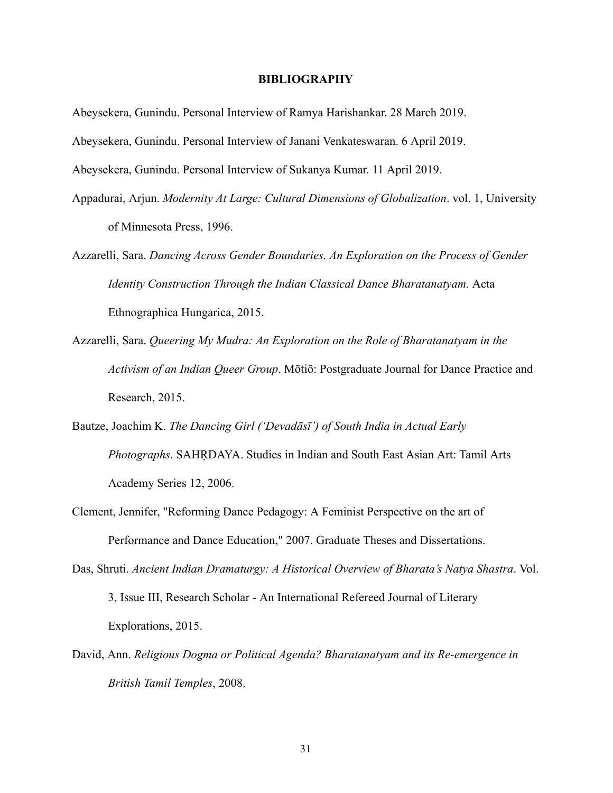#### **BIBLIOGRAPHY**

Abeysekera, Gunindu. Personal Interview of Ramya Harishankar. 28 March 2019.

Abeysekera, Gunindu. Personal Interview of Janani Venkateswaran. 6 April 2019.

Abeysekera, Gunindu. Personal Interview of Sukanya Kumar. 11 April 2019.

- Appadurai, Arjun. *Modernity At Large: Cultural Dimensions of Globalization* . vol. 1, University of Minnesota Press, 1996.
- Azzarelli, Sara. *Dancing Across Gender Boundaries. An Exploration on the Process of Gender Identity Construction Through the Indian Classical Dance Bharatanatyam.*  Acta Ethnographica Hungarica, 2015.
- Azzarelli, Sara. *Queering My Mudra: An Exploration on the Role of Bharatanatyam in the Activism of an Indian Queer Group* . Mōtiō: Postgraduate Journal for Dance Practice and Research, 2015.
- Bautze, Joachim K. *The Dancing Girl ('Devadāsī') of South India in Actual Early Photographs* . SAHṚDAYA. Studies in Indian and South East Asian Art: Tamil Arts Academy Series 12, 2006.
- Clement, Jennifer, "Reforming Dance Pedagogy: A Feminist Perspective on the art of Performance and Dance Education," 2007. Graduate Theses and Dissertations.
- Das, Shruti. *Ancient Indian Dramaturgy: A Historical Overview of Bharata's Natya Shastra.* Vol. 3, Issue III, Research Scholar - An International Refereed Journal of Literary Explorations, 2015.
- David, Ann. *Religious Dogma or Political Agenda? Bharatanatyam and its Re-emergence in British Tamil Temples* , 2008.